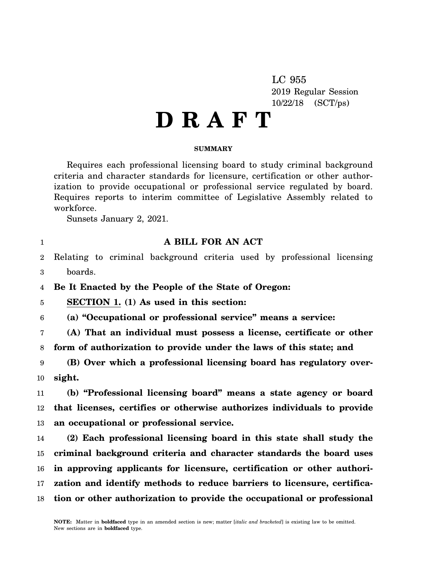LC 955 2019 Regular Session 10/22/18 (SCT/ps)

# **D R A F T**

### **SUMMARY**

Requires each professional licensing board to study criminal background criteria and character standards for licensure, certification or other authorization to provide occupational or professional service regulated by board. Requires reports to interim committee of Legislative Assembly related to workforce.

Sunsets January 2, 2021.

1

### **A BILL FOR AN ACT**

2 3 Relating to criminal background criteria used by professional licensing boards.

4 **Be It Enacted by the People of the State of Oregon:**

5 **SECTION 1. (1) As used in this section:**

6 **(a) "Occupational or professional service" means a service:**

7 8 **(A) That an individual must possess a license, certificate or other form of authorization to provide under the laws of this state; and**

9 10 **(B) Over which a professional licensing board has regulatory oversight.**

11 12 13 **(b) "Professional licensing board" means a state agency or board that licenses, certifies or otherwise authorizes individuals to provide an occupational or professional service.**

14 15 16 17 18 **(2) Each professional licensing board in this state shall study the criminal background criteria and character standards the board uses in approving applicants for licensure, certification or other authorization and identify methods to reduce barriers to licensure, certification or other authorization to provide the occupational or professional**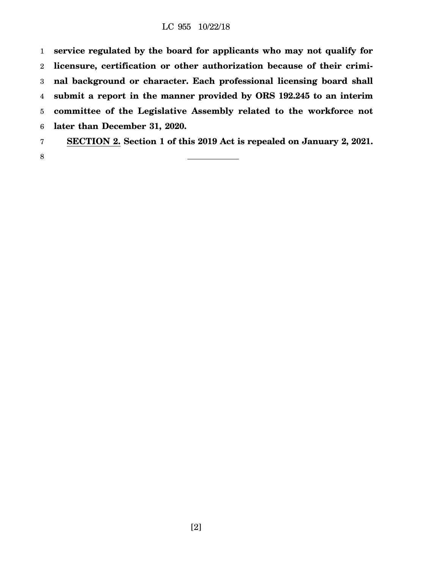### LC 955 10/22/18

1 2 3 4 5 6 7 **service regulated by the board for applicants who may not qualify for licensure, certification or other authorization because of their criminal background or character. Each professional licensing board shall submit a report in the manner provided by ORS 192.245 to an interim committee of the Legislative Assembly related to the workforce not later than December 31, 2020. SECTION 2. Section 1 of this 2019 Act is repealed on January 2, 2021.**

- 
- 8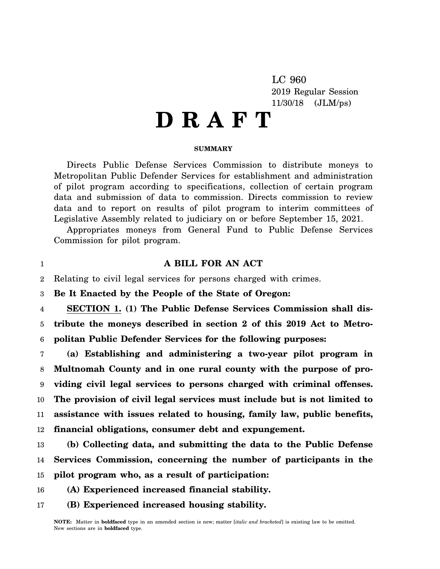LC 960 2019 Regular Session 11/30/18 (JLM/ps)

# **D R A F T**

#### **SUMMARY**

Directs Public Defense Services Commission to distribute moneys to Metropolitan Public Defender Services for establishment and administration of pilot program according to specifications, collection of certain program data and submission of data to commission. Directs commission to review data and to report on results of pilot program to interim committees of Legislative Assembly related to judiciary on or before September 15, 2021.

Appropriates moneys from General Fund to Public Defense Services Commission for pilot program.

### **A BILL FOR AN ACT**

 $\mathfrak{D}$ Relating to civil legal services for persons charged with crimes.

3 **Be It Enacted by the People of the State of Oregon:**

1

4 5 6 **SECTION 1. (1) The Public Defense Services Commission shall distribute the moneys described in section 2 of this 2019 Act to Metropolitan Public Defender Services for the following purposes:**

7 8 9 10 11 12 **(a) Establishing and administering a two-year pilot program in Multnomah County and in one rural county with the purpose of providing civil legal services to persons charged with criminal offenses. The provision of civil legal services must include but is not limited to assistance with issues related to housing, family law, public benefits, financial obligations, consumer debt and expungement.**

13 14 15 **(b) Collecting data, and submitting the data to the Public Defense Services Commission, concerning the number of participants in the pilot program who, as a result of participation:**

- 16 **(A) Experienced increased financial stability.**
- 17 **(B) Experienced increased housing stability.**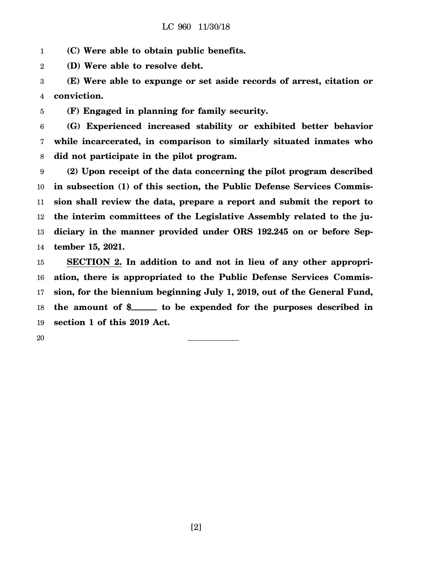1 **(C) Were able to obtain public benefits.**

2 **(D) Were able to resolve debt.**

3 4 **(E) Were able to expunge or set aside records of arrest, citation or conviction.**

5 **(F) Engaged in planning for family security.**

6 7 8 **(G) Experienced increased stability or exhibited better behavior while incarcerated, in comparison to similarly situated inmates who did not participate in the pilot program.**

9 10 11 12 13 14 **(2) Upon receipt of the data concerning the pilot program described in subsection (1) of this section, the Public Defense Services Commission shall review the data, prepare a report and submit the report to the interim committees of the Legislative Assembly related to the judiciary in the manner provided under ORS 192.245 on or before September 15, 2021.**

15 16 17 18 19 **SECTION 2. In addition to and not in lieu of any other appropriation, there is appropriated to the Public Defense Services Commission, for the biennium beginning July 1, 2019, out of the General Fund,** the amount of \$\_\_\_\_\_\_ to be expended for the purposes described in **section 1 of this 2019 Act.**

20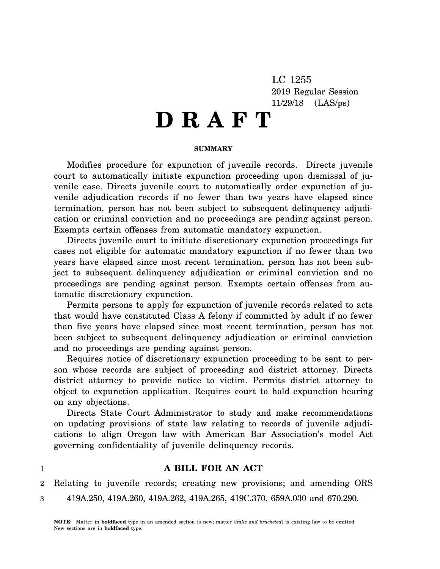LC 1255 2019 Regular Session 11/29/18 (LAS/ps)

# **D R A F T**

### **SUMMARY**

Modifies procedure for expunction of juvenile records. Directs juvenile court to automatically initiate expunction proceeding upon dismissal of juvenile case. Directs juvenile court to automatically order expunction of juvenile adjudication records if no fewer than two years have elapsed since termination, person has not been subject to subsequent delinquency adjudication or criminal conviction and no proceedings are pending against person. Exempts certain offenses from automatic mandatory expunction.

Directs juvenile court to initiate discretionary expunction proceedings for cases not eligible for automatic mandatory expunction if no fewer than two years have elapsed since most recent termination, person has not been subject to subsequent delinquency adjudication or criminal conviction and no proceedings are pending against person. Exempts certain offenses from automatic discretionary expunction.

Permits persons to apply for expunction of juvenile records related to acts that would have constituted Class A felony if committed by adult if no fewer than five years have elapsed since most recent termination, person has not been subject to subsequent delinquency adjudication or criminal conviction and no proceedings are pending against person.

Requires notice of discretionary expunction proceeding to be sent to person whose records are subject of proceeding and district attorney. Directs district attorney to provide notice to victim. Permits district attorney to object to expunction application. Requires court to hold expunction hearing on any objections.

Directs State Court Administrator to study and make recommendations on updating provisions of state law relating to records of juvenile adjudications to align Oregon law with American Bar Association's model Act governing confidentiality of juvenile delinquency records.

1

## **A BILL FOR AN ACT**

2 Relating to juvenile records; creating new provisions; and amending ORS

3 419A.250, 419A.260, 419A.262, 419A.265, 419C.370, 659A.030 and 670.290.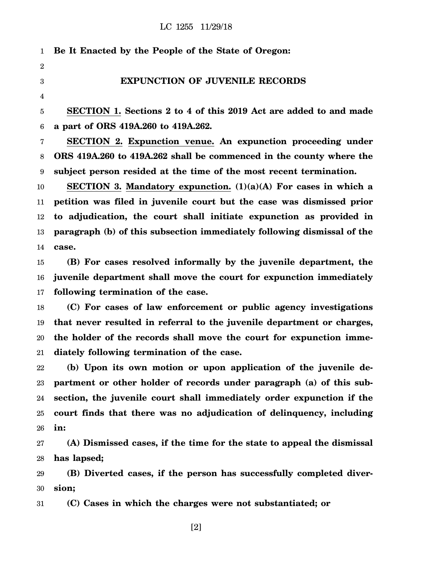| $\mathbf{1}$     | Be It Enacted by the People of the State of Oregon:                     |
|------------------|-------------------------------------------------------------------------|
| $\overline{2}$   |                                                                         |
| 3                | <b>EXPUNCTION OF JUVENILE RECORDS</b>                                   |
| 4                |                                                                         |
| 5                | SECTION 1. Sections 2 to 4 of this 2019 Act are added to and made       |
| 6                | a part of ORS 419A.260 to 419A.262.                                     |
| 7                | <b>SECTION 2. Expunction venue. An expunction proceeding under</b>      |
| 8                | ORS 419A.260 to 419A.262 shall be commenced in the county where the     |
| $\boldsymbol{9}$ | subject person resided at the time of the most recent termination.      |
| $10\,$           | SECTION 3. Mandatory expunction. $(1)(a)(A)$ For cases in which a       |
| 11               | petition was filed in juvenile court but the case was dismissed prior   |
| 12               | to adjudication, the court shall initiate expunction as provided in     |
| 13               | paragraph (b) of this subsection immediately following dismissal of the |
| 14               | case.                                                                   |
| 15               | (B) For cases resolved informally by the juvenile department, the       |
| 16               | juvenile department shall move the court for expunction immediately     |
| 17               | following termination of the case.                                      |
| 18               | (C) For cases of law enforcement or public agency investigations        |
| 19               | that never resulted in referral to the juvenile department or charges,  |
| 20               | the holder of the records shall move the court for expunction imme-     |
| 21               | diately following termination of the case.                              |
| 22               | (b) Upon its own motion or upon application of the juvenile de-         |
| າາ               | nartment or other holder of records under paracraph (a) of this sub-    |

23 24 25 26 **partment or other holder of records under paragraph (a) of this subsection, the juvenile court shall immediately order expunction if the court finds that there was no adjudication of delinquency, including in:**

27 28 **(A) Dismissed cases, if the time for the state to appeal the dismissal has lapsed;**

29 30 **(B) Diverted cases, if the person has successfully completed diversion;**

31 **(C) Cases in which the charges were not substantiated; or**

[2]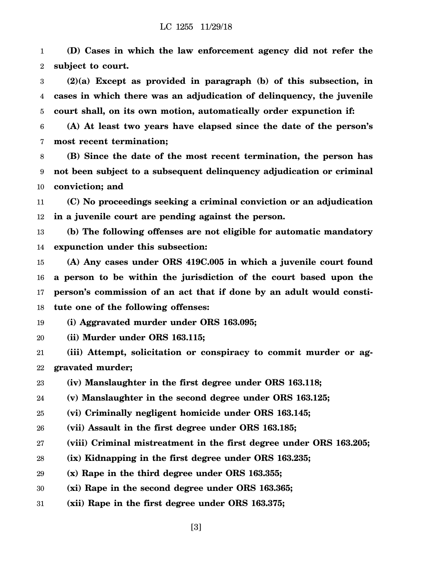1 2 **(D) Cases in which the law enforcement agency did not refer the subject to court.**

3 4 5 **(2)(a) Except as provided in paragraph (b) of this subsection, in cases in which there was an adjudication of delinquency, the juvenile court shall, on its own motion, automatically order expunction if:**

6 7 **(A) At least two years have elapsed since the date of the person's most recent termination;**

8 9 10 **(B) Since the date of the most recent termination, the person has not been subject to a subsequent delinquency adjudication or criminal conviction; and**

11 12 **(C) No proceedings seeking a criminal conviction or an adjudication in a juvenile court are pending against the person.**

13 14 **(b) The following offenses are not eligible for automatic mandatory expunction under this subsection:**

15 16 17 18 **(A) Any cases under ORS 419C.005 in which a juvenile court found a person to be within the jurisdiction of the court based upon the person's commission of an act that if done by an adult would constitute one of the following offenses:**

19 **(i) Aggravated murder under ORS 163.095;**

20 **(ii) Murder under ORS 163.115;**

21 22 **(iii) Attempt, solicitation or conspiracy to commit murder or aggravated murder;**

23 **(iv) Manslaughter in the first degree under ORS 163.118;**

24 **(v) Manslaughter in the second degree under ORS 163.125;**

25 **(vi) Criminally negligent homicide under ORS 163.145;**

- 26 **(vii) Assault in the first degree under ORS 163.185;**
- 27 **(viii) Criminal mistreatment in the first degree under ORS 163.205;**
- 28 **(ix) Kidnapping in the first degree under ORS 163.235;**
- 29 **(x) Rape in the third degree under ORS 163.355;**
- 30 **(xi) Rape in the second degree under ORS 163.365;**
- 31 **(xii) Rape in the first degree under ORS 163.375;**

[3]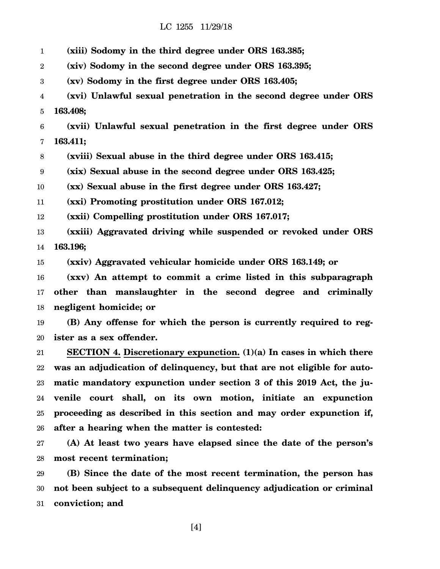1 2 3 4 5 6 7 8 9 **(xiii) Sodomy in the third degree under ORS 163.385; (xiv) Sodomy in the second degree under ORS 163.395; (xv) Sodomy in the first degree under ORS 163.405; (xvi) Unlawful sexual penetration in the second degree under ORS 163.408; (xvii) Unlawful sexual penetration in the first degree under ORS 163.411; (xviii) Sexual abuse in the third degree under ORS 163.415; (xix) Sexual abuse in the second degree under ORS 163.425;**

10 **(xx) Sexual abuse in the first degree under ORS 163.427;**

11 **(xxi) Promoting prostitution under ORS 167.012;**

12 **(xxii) Compelling prostitution under ORS 167.017;**

13 14 **(xxiii) Aggravated driving while suspended or revoked under ORS 163.196;**

15 **(xxiv) Aggravated vehicular homicide under ORS 163.149; or**

16 17 18 **(xxv) An attempt to commit a crime listed in this subparagraph other than manslaughter in the second degree and criminally negligent homicide; or**

19 20 **(B) Any offense for which the person is currently required to register as a sex offender.**

21 22 23 24 25 26 **SECTION 4. Discretionary expunction. (1)(a) In cases in which there was an adjudication of delinquency, but that are not eligible for automatic mandatory expunction under section 3 of this 2019 Act, the juvenile court shall, on its own motion, initiate an expunction proceeding as described in this section and may order expunction if, after a hearing when the matter is contested:**

27 28 **(A) At least two years have elapsed since the date of the person's most recent termination;**

29 30 31 **(B) Since the date of the most recent termination, the person has not been subject to a subsequent delinquency adjudication or criminal conviction; and**

[4]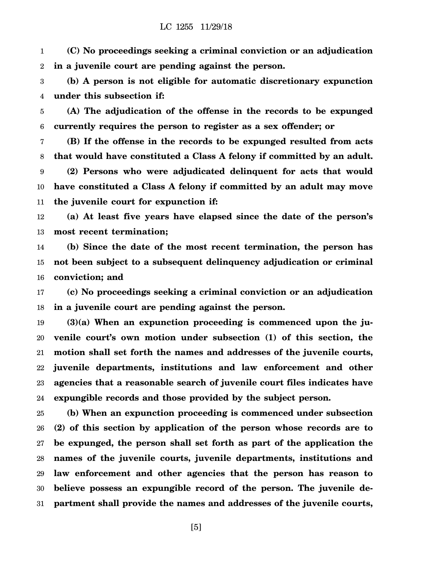1 2 **(C) No proceedings seeking a criminal conviction or an adjudication in a juvenile court are pending against the person.**

3 4 **(b) A person is not eligible for automatic discretionary expunction under this subsection if:**

5 6 **(A) The adjudication of the offense in the records to be expunged currently requires the person to register as a sex offender; or**

7 8 9 10 11 **(B) If the offense in the records to be expunged resulted from acts that would have constituted a Class A felony if committed by an adult. (2) Persons who were adjudicated delinquent for acts that would have constituted a Class A felony if committed by an adult may move the juvenile court for expunction if:**

12 13 **(a) At least five years have elapsed since the date of the person's most recent termination;**

14 15 16 **(b) Since the date of the most recent termination, the person has not been subject to a subsequent delinquency adjudication or criminal conviction; and**

17 18 **(c) No proceedings seeking a criminal conviction or an adjudication in a juvenile court are pending against the person.**

19 20 21 22 23 24 **(3)(a) When an expunction proceeding is commenced upon the juvenile court's own motion under subsection (1) of this section, the motion shall set forth the names and addresses of the juvenile courts, juvenile departments, institutions and law enforcement and other agencies that a reasonable search of juvenile court files indicates have expungible records and those provided by the subject person.**

25 26 27 28 29 30 31 **(b) When an expunction proceeding is commenced under subsection (2) of this section by application of the person whose records are to be expunged, the person shall set forth as part of the application the names of the juvenile courts, juvenile departments, institutions and law enforcement and other agencies that the person has reason to believe possess an expungible record of the person. The juvenile department shall provide the names and addresses of the juvenile courts,**

[5]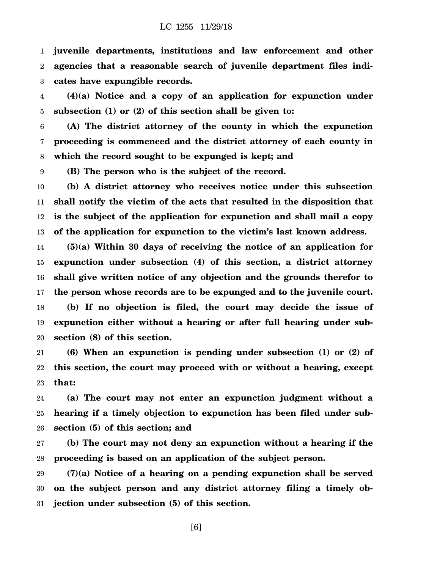1 2 3 **juvenile departments, institutions and law enforcement and other agencies that a reasonable search of juvenile department files indicates have expungible records.**

4 5 **(4)(a) Notice and a copy of an application for expunction under subsection (1) or (2) of this section shall be given to:**

6 7 8 **(A) The district attorney of the county in which the expunction proceeding is commenced and the district attorney of each county in which the record sought to be expunged is kept; and**

9 **(B) The person who is the subject of the record.**

10 11 12 13 **(b) A district attorney who receives notice under this subsection shall notify the victim of the acts that resulted in the disposition that is the subject of the application for expunction and shall mail a copy of the application for expunction to the victim's last known address.**

14 15 16 17 18 19 20 **(5)(a) Within 30 days of receiving the notice of an application for expunction under subsection (4) of this section, a district attorney shall give written notice of any objection and the grounds therefor to the person whose records are to be expunged and to the juvenile court. (b) If no objection is filed, the court may decide the issue of expunction either without a hearing or after full hearing under subsection (8) of this section.**

21 22 23 **(6) When an expunction is pending under subsection (1) or (2) of this section, the court may proceed with or without a hearing, except that:**

24 25 26 **(a) The court may not enter an expunction judgment without a hearing if a timely objection to expunction has been filed under subsection (5) of this section; and**

27 28 **(b) The court may not deny an expunction without a hearing if the proceeding is based on an application of the subject person.**

29 30 31 **(7)(a) Notice of a hearing on a pending expunction shall be served on the subject person and any district attorney filing a timely objection under subsection (5) of this section.**

[6]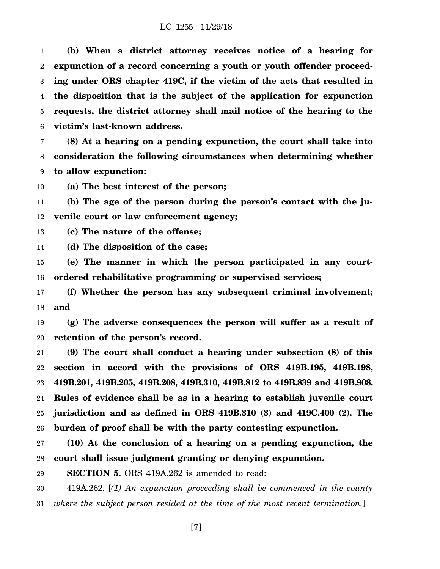1 2 3 4 5 6 **(b) When a district attorney receives notice of a hearing for expunction of a record concerning a youth or youth offender proceeding under ORS chapter 419C, if the victim of the acts that resulted in the disposition that is the subject of the application for expunction requests, the district attorney shall mail notice of the hearing to the victim's last-known address.**

7 8 9 **(8) At a hearing on a pending expunction, the court shall take into consideration the following circumstances when determining whether to allow expunction:**

10 **(a) The best interest of the person;**

11 12 **(b) The age of the person during the person's contact with the juvenile court or law enforcement agency;**

13 **(c) The nature of the offense;**

14 **(d) The disposition of the case;**

15 16 **(e) The manner in which the person participated in any courtordered rehabilitative programming or supervised services;**

17 18 **(f) Whether the person has any subsequent criminal involvement; and**

19 20 **(g) The adverse consequences the person will suffer as a result of retention of the person's record.**

21 22 23 24 25 26 **(9) The court shall conduct a hearing under subsection (8) of this section in accord with the provisions of ORS 419B.195, 419B.198, 419B.201, 419B.205, 419B.208, 419B.310, 419B.812 to 419B.839 and 419B.908. Rules of evidence shall be as in a hearing to establish juvenile court jurisdiction and as defined in ORS 419B.310 (3) and 419C.400 (2). The burden of proof shall be with the party contesting expunction.**

27 28 **(10) At the conclusion of a hearing on a pending expunction, the court shall issue judgment granting or denying expunction.**

29 **SECTION 5.** ORS 419A.262 is amended to read:

30 31 419A.262. [*(1) An expunction proceeding shall be commenced in the county where the subject person resided at the time of the most recent termination.*]

[7]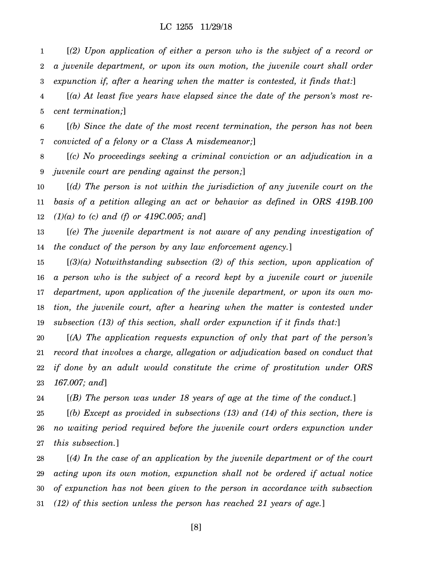1 2 3 [*(2) Upon application of either a person who is the subject of a record or a juvenile department, or upon its own motion, the juvenile court shall order expunction if, after a hearing when the matter is contested, it finds that:*]

4 5 [*(a) At least five years have elapsed since the date of the person's most recent termination;*]

6 7 [*(b) Since the date of the most recent termination, the person has not been convicted of a felony or a Class A misdemeanor;*]

8 9 [*(c) No proceedings seeking a criminal conviction or an adjudication in a juvenile court are pending against the person;*]

10 11 12 [*(d) The person is not within the jurisdiction of any juvenile court on the basis of a petition alleging an act or behavior as defined in ORS 419B.100 (1)(a) to (c) and (f) or 419C.005; and*]

13 14 [*(e) The juvenile department is not aware of any pending investigation of the conduct of the person by any law enforcement agency.*]

15 16 17 18 19 [*(3)(a) Notwithstanding subsection (2) of this section, upon application of a person who is the subject of a record kept by a juvenile court or juvenile department, upon application of the juvenile department, or upon its own motion, the juvenile court, after a hearing when the matter is contested under subsection (13) of this section, shall order expunction if it finds that:*]

20 21 22 23 [*(A) The application requests expunction of only that part of the person's record that involves a charge, allegation or adjudication based on conduct that if done by an adult would constitute the crime of prostitution under ORS 167.007; and*]

24 [*(B) The person was under 18 years of age at the time of the conduct.*]

25 26 27 [*(b) Except as provided in subsections (13) and (14) of this section, there is no waiting period required before the juvenile court orders expunction under this subsection.*]

28 29 30 31 [*(4) In the case of an application by the juvenile department or of the court acting upon its own motion, expunction shall not be ordered if actual notice of expunction has not been given to the person in accordance with subsection (12) of this section unless the person has reached 21 years of age.*]

[8]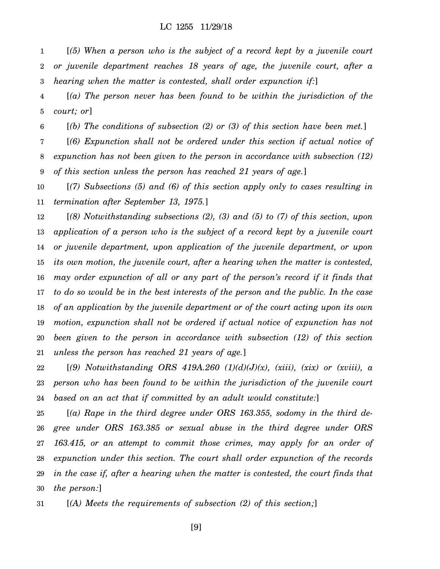1 2 3 [*(5) When a person who is the subject of a record kept by a juvenile court or juvenile department reaches 18 years of age, the juvenile court, after a hearing when the matter is contested, shall order expunction if:*]

4 5 [*(a) The person never has been found to be within the jurisdiction of the court; or*]

6 [*(b) The conditions of subsection (2) or (3) of this section have been met.*]

7 8 9 [*(6) Expunction shall not be ordered under this section if actual notice of expunction has not been given to the person in accordance with subsection (12) of this section unless the person has reached 21 years of age.*]

10 11 [*(7) Subsections (5) and (6) of this section apply only to cases resulting in termination after September 13, 1975.*]

12 13 14 15 16 17 18 19 20 21 [*(8) Notwithstanding subsections (2), (3) and (5) to (7) of this section, upon application of a person who is the subject of a record kept by a juvenile court or juvenile department, upon application of the juvenile department, or upon its own motion, the juvenile court, after a hearing when the matter is contested, may order expunction of all or any part of the person's record if it finds that to do so would be in the best interests of the person and the public. In the case of an application by the juvenile department or of the court acting upon its own motion, expunction shall not be ordered if actual notice of expunction has not been given to the person in accordance with subsection (12) of this section unless the person has reached 21 years of age.*]

22 23 24 [*(9) Notwithstanding ORS 419A.260 (1)(d)(J)(x), (xiii), (xix) or (xviii), a person who has been found to be within the jurisdiction of the juvenile court based on an act that if committed by an adult would constitute:*]

25 26 27 28 29 30 [*(a) Rape in the third degree under ORS 163.355, sodomy in the third degree under ORS 163.385 or sexual abuse in the third degree under ORS 163.415, or an attempt to commit those crimes, may apply for an order of expunction under this section. The court shall order expunction of the records in the case if, after a hearing when the matter is contested, the court finds that the person:*]

31 [*(A) Meets the requirements of subsection (2) of this section;*]

[9]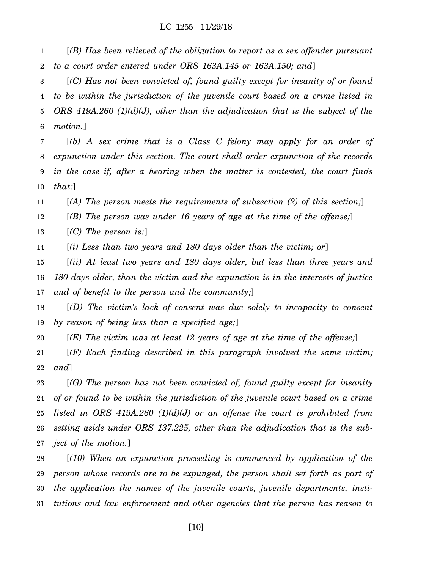1 2 [*(B) Has been relieved of the obligation to report as a sex offender pursuant to a court order entered under ORS 163A.145 or 163A.150; and*]

3 4 5 6 [*(C) Has not been convicted of, found guilty except for insanity of or found to be within the jurisdiction of the juvenile court based on a crime listed in ORS 419A.260 (1)(d)(J), other than the adjudication that is the subject of the motion.*]

7 8 9 10 [*(b) A sex crime that is a Class C felony may apply for an order of expunction under this section. The court shall order expunction of the records in the case if, after a hearing when the matter is contested, the court finds that:*]

11 [*(A) The person meets the requirements of subsection (2) of this section;*]

12 [*(B) The person was under 16 years of age at the time of the offense;*]

13 [*(C) The person is:*]

14 [*(i) Less than two years and 180 days older than the victim; or*]

15 16 17 [*(ii) At least two years and 180 days older, but less than three years and 180 days older, than the victim and the expunction is in the interests of justice and of benefit to the person and the community;*]

18 19 [*(D) The victim's lack of consent was due solely to incapacity to consent by reason of being less than a specified age;*]

20 [*(E) The victim was at least 12 years of age at the time of the offense;*]

21 22 [*(F) Each finding described in this paragraph involved the same victim; and*]

23 24 25 26 27 [*(G) The person has not been convicted of, found guilty except for insanity of or found to be within the jurisdiction of the juvenile court based on a crime listed in ORS 419A.260 (1)(d)(J) or an offense the court is prohibited from setting aside under ORS 137.225, other than the adjudication that is the subject of the motion.*]

28 29 30 31 [*(10) When an expunction proceeding is commenced by application of the person whose records are to be expunged, the person shall set forth as part of the application the names of the juvenile courts, juvenile departments, institutions and law enforcement and other agencies that the person has reason to*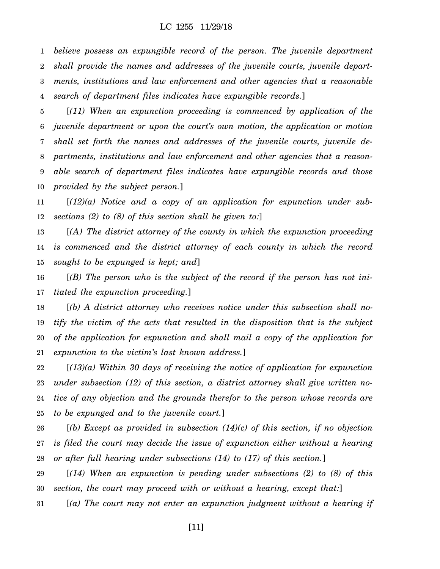1 2 3 4 *believe possess an expungible record of the person. The juvenile department shall provide the names and addresses of the juvenile courts, juvenile departments, institutions and law enforcement and other agencies that a reasonable search of department files indicates have expungible records.*]

5 6 7 8 9 10 [*(11) When an expunction proceeding is commenced by application of the juvenile department or upon the court's own motion, the application or motion shall set forth the names and addresses of the juvenile courts, juvenile departments, institutions and law enforcement and other agencies that a reasonable search of department files indicates have expungible records and those provided by the subject person.*]

11 12 [*(12)(a) Notice and a copy of an application for expunction under subsections (2) to (8) of this section shall be given to:*]

13 14 15 [*(A) The district attorney of the county in which the expunction proceeding is commenced and the district attorney of each county in which the record sought to be expunged is kept; and*]

16 17 [*(B) The person who is the subject of the record if the person has not initiated the expunction proceeding.*]

18 19 20 21 [*(b) A district attorney who receives notice under this subsection shall notify the victim of the acts that resulted in the disposition that is the subject of the application for expunction and shall mail a copy of the application for expunction to the victim's last known address.*]

22 23 24 25 [*(13)(a) Within 30 days of receiving the notice of application for expunction under subsection (12) of this section, a district attorney shall give written notice of any objection and the grounds therefor to the person whose records are to be expunged and to the juvenile court.*]

26 27 28 [*(b) Except as provided in subsection (14)(c) of this section, if no objection is filed the court may decide the issue of expunction either without a hearing or after full hearing under subsections (14) to (17) of this section.*]

29 30 [*(14) When an expunction is pending under subsections (2) to (8) of this section, the court may proceed with or without a hearing, except that:*]

31 [*(a) The court may not enter an expunction judgment without a hearing if*

[11]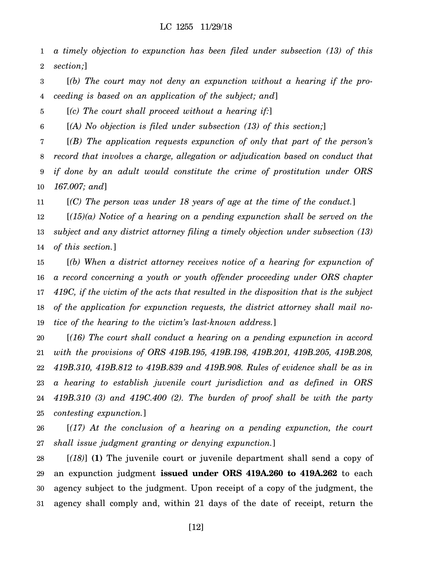1 2 *a timely objection to expunction has been filed under subsection (13) of this section;*]

3 4 [*(b) The court may not deny an expunction without a hearing if the proceeding is based on an application of the subject; and*]

5 [*(c) The court shall proceed without a hearing if:*]

6 [*(A) No objection is filed under subsection (13) of this section;*]

7 8 9 10 [*(B) The application requests expunction of only that part of the person's record that involves a charge, allegation or adjudication based on conduct that if done by an adult would constitute the crime of prostitution under ORS 167.007; and*]

11 [*(C) The person was under 18 years of age at the time of the conduct.*]

12 13 14 [*(15)(a) Notice of a hearing on a pending expunction shall be served on the subject and any district attorney filing a timely objection under subsection (13) of this section.*]

15 16 17 18 19 [*(b) When a district attorney receives notice of a hearing for expunction of a record concerning a youth or youth offender proceeding under ORS chapter 419C, if the victim of the acts that resulted in the disposition that is the subject of the application for expunction requests, the district attorney shall mail notice of the hearing to the victim's last-known address.*]

20 21 22 23 24 25 [*(16) The court shall conduct a hearing on a pending expunction in accord with the provisions of ORS 419B.195, 419B.198, 419B.201, 419B.205, 419B.208, 419B.310, 419B.812 to 419B.839 and 419B.908. Rules of evidence shall be as in a hearing to establish juvenile court jurisdiction and as defined in ORS 419B.310 (3) and 419C.400 (2). The burden of proof shall be with the party contesting expunction.*]

26 27 [*(17) At the conclusion of a hearing on a pending expunction, the court shall issue judgment granting or denying expunction.*]

28 29 30 31 [*(18)*] **(1)** The juvenile court or juvenile department shall send a copy of an expunction judgment **issued under ORS 419A.260 to 419A.262** to each agency subject to the judgment. Upon receipt of a copy of the judgment, the agency shall comply and, within 21 days of the date of receipt, return the

[12]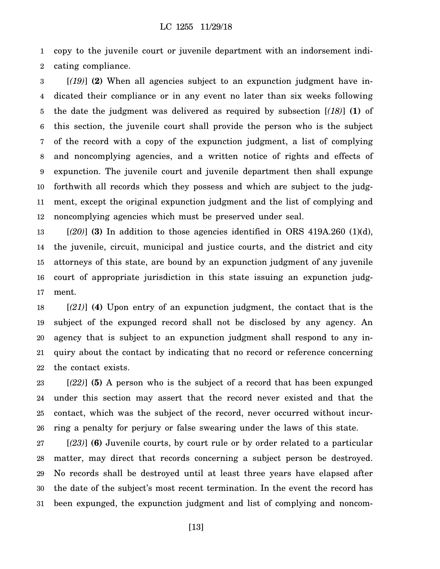1 2 copy to the juvenile court or juvenile department with an indorsement indicating compliance.

3 4 5 6 7 8 9 10 11 12 [*(19)*] **(2)** When all agencies subject to an expunction judgment have indicated their compliance or in any event no later than six weeks following the date the judgment was delivered as required by subsection [*(18)*] **(1)** of this section, the juvenile court shall provide the person who is the subject of the record with a copy of the expunction judgment, a list of complying and noncomplying agencies, and a written notice of rights and effects of expunction. The juvenile court and juvenile department then shall expunge forthwith all records which they possess and which are subject to the judgment, except the original expunction judgment and the list of complying and noncomplying agencies which must be preserved under seal.

13 14 15 16 17 [*(20)*] **(3)** In addition to those agencies identified in ORS 419A.260 (1)(d), the juvenile, circuit, municipal and justice courts, and the district and city attorneys of this state, are bound by an expunction judgment of any juvenile court of appropriate jurisdiction in this state issuing an expunction judgment.

18 19 20 21 22 [*(21)*] **(4)** Upon entry of an expunction judgment, the contact that is the subject of the expunged record shall not be disclosed by any agency. An agency that is subject to an expunction judgment shall respond to any inquiry about the contact by indicating that no record or reference concerning the contact exists.

23 24 25 26 [*(22)*] **(5)** A person who is the subject of a record that has been expunged under this section may assert that the record never existed and that the contact, which was the subject of the record, never occurred without incurring a penalty for perjury or false swearing under the laws of this state.

27 28 29 30 31 [*(23)*] **(6)** Juvenile courts, by court rule or by order related to a particular matter, may direct that records concerning a subject person be destroyed. No records shall be destroyed until at least three years have elapsed after the date of the subject's most recent termination. In the event the record has been expunged, the expunction judgment and list of complying and noncom-

[13]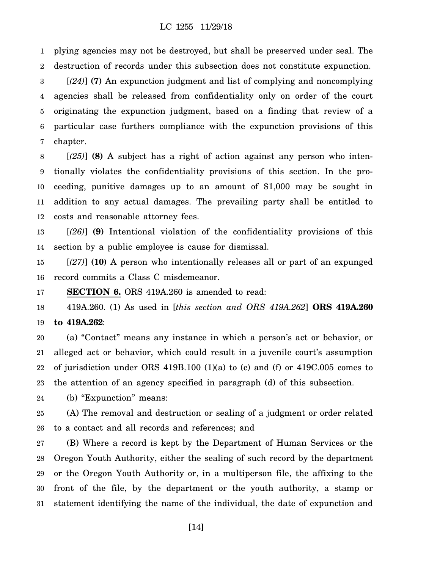1 2 plying agencies may not be destroyed, but shall be preserved under seal. The destruction of records under this subsection does not constitute expunction.

3 4 5 6 7 [*(24)*] **(7)** An expunction judgment and list of complying and noncomplying agencies shall be released from confidentiality only on order of the court originating the expunction judgment, based on a finding that review of a particular case furthers compliance with the expunction provisions of this chapter.

8 9 10 11 12 [*(25)*] **(8)** A subject has a right of action against any person who intentionally violates the confidentiality provisions of this section. In the proceeding, punitive damages up to an amount of \$1,000 may be sought in addition to any actual damages. The prevailing party shall be entitled to costs and reasonable attorney fees.

13 14 [*(26)*] **(9)** Intentional violation of the confidentiality provisions of this section by a public employee is cause for dismissal.

15 16 [*(27)*] **(10)** A person who intentionally releases all or part of an expunged record commits a Class C misdemeanor.

17 **SECTION 6.** ORS 419A.260 is amended to read:

18 19 419A.260. (1) As used in [*this section and ORS 419A.262*] **ORS 419A.260 to 419A.262**:

20 21 22 23 (a) "Contact" means any instance in which a person's act or behavior, or alleged act or behavior, which could result in a juvenile court's assumption of jurisdiction under ORS 419B.100 (1)(a) to (c) and (f) or 419C.005 comes to the attention of an agency specified in paragraph (d) of this subsection.

24 (b) "Expunction" means:

25 26 (A) The removal and destruction or sealing of a judgment or order related to a contact and all records and references; and

27 28 29 30 31 (B) Where a record is kept by the Department of Human Services or the Oregon Youth Authority, either the sealing of such record by the department or the Oregon Youth Authority or, in a multiperson file, the affixing to the front of the file, by the department or the youth authority, a stamp or statement identifying the name of the individual, the date of expunction and

[14]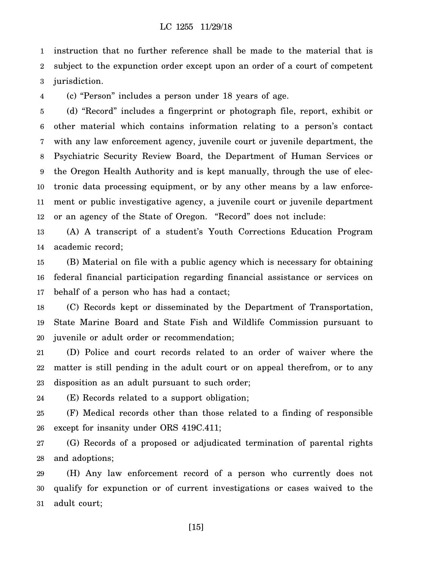1 2 3 instruction that no further reference shall be made to the material that is subject to the expunction order except upon an order of a court of competent jurisdiction.

4 (c) "Person" includes a person under 18 years of age.

5 6 7 8 9 10 11 12 (d) "Record" includes a fingerprint or photograph file, report, exhibit or other material which contains information relating to a person's contact with any law enforcement agency, juvenile court or juvenile department, the Psychiatric Security Review Board, the Department of Human Services or the Oregon Health Authority and is kept manually, through the use of electronic data processing equipment, or by any other means by a law enforcement or public investigative agency, a juvenile court or juvenile department or an agency of the State of Oregon. "Record" does not include:

13 14 (A) A transcript of a student's Youth Corrections Education Program academic record;

15 16 17 (B) Material on file with a public agency which is necessary for obtaining federal financial participation regarding financial assistance or services on behalf of a person who has had a contact;

18 19 20 (C) Records kept or disseminated by the Department of Transportation, State Marine Board and State Fish and Wildlife Commission pursuant to juvenile or adult order or recommendation;

21 22 23 (D) Police and court records related to an order of waiver where the matter is still pending in the adult court or on appeal therefrom, or to any disposition as an adult pursuant to such order;

24 (E) Records related to a support obligation;

25 26 (F) Medical records other than those related to a finding of responsible except for insanity under ORS 419C.411;

27 28 (G) Records of a proposed or adjudicated termination of parental rights and adoptions;

29 30 31 (H) Any law enforcement record of a person who currently does not qualify for expunction or of current investigations or cases waived to the adult court;

[15]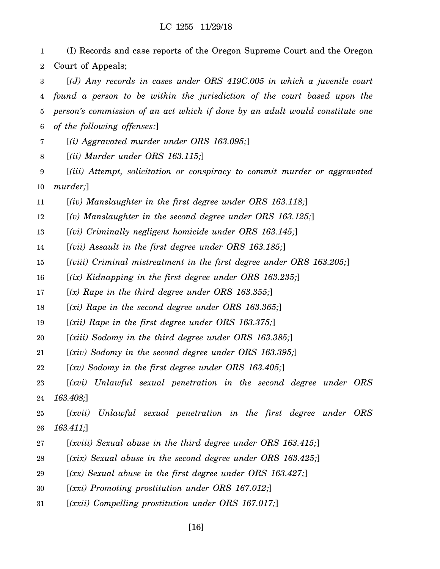1 2 (I) Records and case reports of the Oregon Supreme Court and the Oregon Court of Appeals;

3 4 5 6 [*(J) Any records in cases under ORS 419C.005 in which a juvenile court found a person to be within the jurisdiction of the court based upon the person's commission of an act which if done by an adult would constitute one of the following offenses:*]

7 [*(i) Aggravated murder under ORS 163.095;*]

8 [*(ii) Murder under ORS 163.115;*]

9 10 [*(iii) Attempt, solicitation or conspiracy to commit murder or aggravated murder;*]

11 [*(iv) Manslaughter in the first degree under ORS 163.118;*]

12 [*(v) Manslaughter in the second degree under ORS 163.125;*]

13 [*(vi) Criminally negligent homicide under ORS 163.145;*]

14 [*(vii) Assault in the first degree under ORS 163.185;*]

15 [*(viii) Criminal mistreatment in the first degree under ORS 163.205;*]

16 [*(ix) Kidnapping in the first degree under ORS 163.235;*]

17 [*(x) Rape in the third degree under ORS 163.355;*]

18 [*(xi) Rape in the second degree under ORS 163.365;*]

19 [*(xii) Rape in the first degree under ORS 163.375;*]

20 [*(xiii) Sodomy in the third degree under ORS 163.385;*]

21 [*(xiv) Sodomy in the second degree under ORS 163.395;*]

22 [*(xv) Sodomy in the first degree under ORS 163.405;*]

23 24 [*(xvi) Unlawful sexual penetration in the second degree under ORS 163.408;*]

25 26 [*(xvii) Unlawful sexual penetration in the first degree under ORS 163.411;*]

27 [*(xviii) Sexual abuse in the third degree under ORS 163.415;*]

28 [*(xix) Sexual abuse in the second degree under ORS 163.425;*]

29 [*(xx) Sexual abuse in the first degree under ORS 163.427;*]

30 [*(xxi) Promoting prostitution under ORS 167.012;*]

31 [*(xxii) Compelling prostitution under ORS 167.017;*]

[16]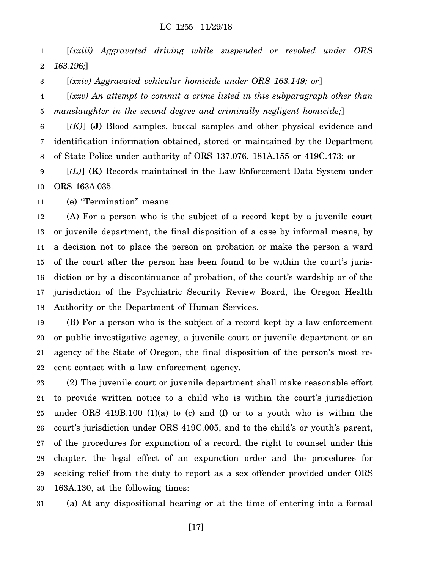1 2 [*(xxiii) Aggravated driving while suspended or revoked under ORS 163.196;*]

3 [*(xxiv) Aggravated vehicular homicide under ORS 163.149; or*]

4 5 [*(xxv) An attempt to commit a crime listed in this subparagraph other than manslaughter in the second degree and criminally negligent homicide;*]

6 7 8 [*(K)*] **(J)** Blood samples, buccal samples and other physical evidence and identification information obtained, stored or maintained by the Department of State Police under authority of ORS 137.076, 181A.155 or 419C.473; or

9 10 [*(L)*] **(K)** Records maintained in the Law Enforcement Data System under ORS 163A.035.

11 (e) "Termination" means:

12 13 14 15 16 17 18 (A) For a person who is the subject of a record kept by a juvenile court or juvenile department, the final disposition of a case by informal means, by a decision not to place the person on probation or make the person a ward of the court after the person has been found to be within the court's jurisdiction or by a discontinuance of probation, of the court's wardship or of the jurisdiction of the Psychiatric Security Review Board, the Oregon Health Authority or the Department of Human Services.

19 20 21 22 (B) For a person who is the subject of a record kept by a law enforcement or public investigative agency, a juvenile court or juvenile department or an agency of the State of Oregon, the final disposition of the person's most recent contact with a law enforcement agency.

23 24 25 26 27 28 29 30 (2) The juvenile court or juvenile department shall make reasonable effort to provide written notice to a child who is within the court's jurisdiction under ORS  $419B.100$  (1)(a) to (c) and (f) or to a youth who is within the court's jurisdiction under ORS 419C.005, and to the child's or youth's parent, of the procedures for expunction of a record, the right to counsel under this chapter, the legal effect of an expunction order and the procedures for seeking relief from the duty to report as a sex offender provided under ORS 163A.130, at the following times:

31 (a) At any dispositional hearing or at the time of entering into a formal

[17]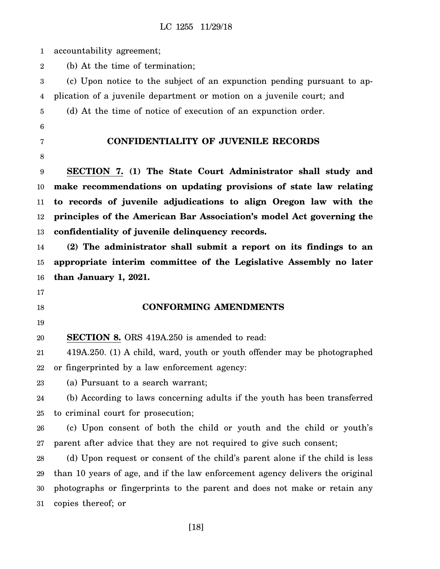| $\mathbf{1}$     | accountability agreement;                                                     |
|------------------|-------------------------------------------------------------------------------|
| $\boldsymbol{2}$ | (b) At the time of termination;                                               |
| 3                | (c) Upon notice to the subject of an expunction pending pursuant to ap-       |
| 4                | plication of a juvenile department or motion on a juvenile court; and         |
| 5                | (d) At the time of notice of execution of an expunction order.                |
| 6                |                                                                               |
| 7                | <b>CONFIDENTIALITY OF JUVENILE RECORDS</b>                                    |
| 8                |                                                                               |
| 9                | SECTION 7. (1) The State Court Administrator shall study and                  |
| 10               | make recommendations on updating provisions of state law relating             |
| 11               | to records of juvenile adjudications to align Oregon law with the             |
| 12               | principles of the American Bar Association's model Act governing the          |
| 13               | confidentiality of juvenile delinquency records.                              |
| 14               | (2) The administrator shall submit a report on its findings to an             |
| 15               | appropriate interim committee of the Legislative Assembly no later            |
| 16               | than January 1, 2021.                                                         |
| 17               |                                                                               |
| 18               | <b>CONFORMING AMENDMENTS</b>                                                  |
| 19               |                                                                               |
| 20               | <b>SECTION 8.</b> ORS 419A.250 is amended to read:                            |
| 21               | 419A.250. (1) A child, ward, youth or youth offender may be photographed      |
| 22               | or fingerprinted by a law enforcement agency:                                 |
| 23               | (a) Pursuant to a search warrant;                                             |
| 24               | (b) According to laws concerning adults if the youth has been transferred     |
| 25               | to criminal court for prosecution;                                            |
| 26               | (c) Upon consent of both the child or youth and the child or youth's          |
| 27               | parent after advice that they are not required to give such consent;          |
| 28               | (d) Upon request or consent of the child's parent alone if the child is less  |
| 29               | than 10 years of age, and if the law enforcement agency delivers the original |
| 30               | photographs or fingerprints to the parent and does not make or retain any     |
| 31               | copies thereof; or                                                            |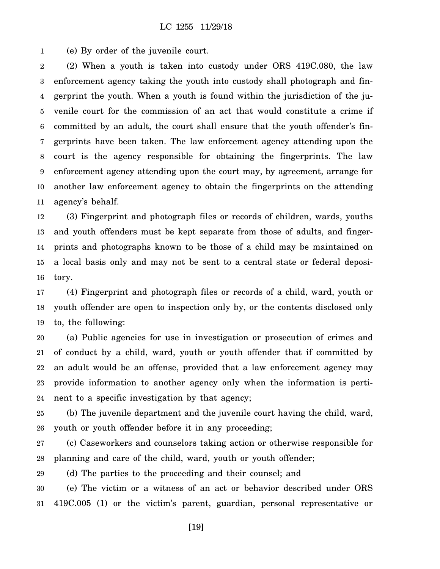1 (e) By order of the juvenile court.

2 3 4 5 6 7 8 9 10 11 (2) When a youth is taken into custody under ORS 419C.080, the law enforcement agency taking the youth into custody shall photograph and fingerprint the youth. When a youth is found within the jurisdiction of the juvenile court for the commission of an act that would constitute a crime if committed by an adult, the court shall ensure that the youth offender's fingerprints have been taken. The law enforcement agency attending upon the court is the agency responsible for obtaining the fingerprints. The law enforcement agency attending upon the court may, by agreement, arrange for another law enforcement agency to obtain the fingerprints on the attending agency's behalf.

12 13 14 15 16 (3) Fingerprint and photograph files or records of children, wards, youths and youth offenders must be kept separate from those of adults, and fingerprints and photographs known to be those of a child may be maintained on a local basis only and may not be sent to a central state or federal depository.

17 18 19 (4) Fingerprint and photograph files or records of a child, ward, youth or youth offender are open to inspection only by, or the contents disclosed only to, the following:

20 21 22 23 24 (a) Public agencies for use in investigation or prosecution of crimes and of conduct by a child, ward, youth or youth offender that if committed by an adult would be an offense, provided that a law enforcement agency may provide information to another agency only when the information is pertinent to a specific investigation by that agency;

25 26 (b) The juvenile department and the juvenile court having the child, ward, youth or youth offender before it in any proceeding;

27 28 (c) Caseworkers and counselors taking action or otherwise responsible for planning and care of the child, ward, youth or youth offender;

29 (d) The parties to the proceeding and their counsel; and

30 31 (e) The victim or a witness of an act or behavior described under ORS 419C.005 (1) or the victim's parent, guardian, personal representative or

[19]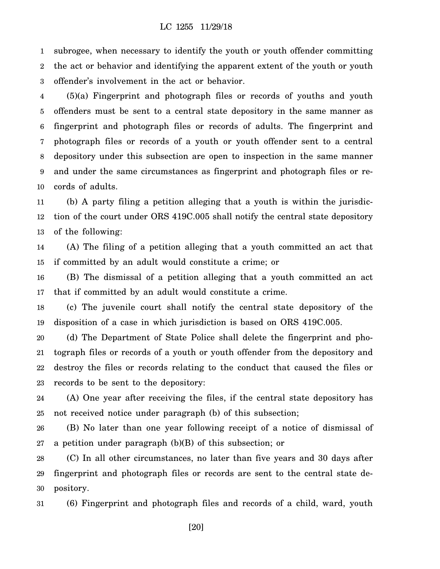1 2 3 subrogee, when necessary to identify the youth or youth offender committing the act or behavior and identifying the apparent extent of the youth or youth offender's involvement in the act or behavior.

4 5 6 7 8 9 10 (5)(a) Fingerprint and photograph files or records of youths and youth offenders must be sent to a central state depository in the same manner as fingerprint and photograph files or records of adults. The fingerprint and photograph files or records of a youth or youth offender sent to a central depository under this subsection are open to inspection in the same manner and under the same circumstances as fingerprint and photograph files or records of adults.

11 12 13 (b) A party filing a petition alleging that a youth is within the jurisdiction of the court under ORS 419C.005 shall notify the central state depository of the following:

14 15 (A) The filing of a petition alleging that a youth committed an act that if committed by an adult would constitute a crime; or

16 17 (B) The dismissal of a petition alleging that a youth committed an act that if committed by an adult would constitute a crime.

18 19 (c) The juvenile court shall notify the central state depository of the disposition of a case in which jurisdiction is based on ORS 419C.005.

20 21 22 23 (d) The Department of State Police shall delete the fingerprint and photograph files or records of a youth or youth offender from the depository and destroy the files or records relating to the conduct that caused the files or records to be sent to the depository:

24 25 (A) One year after receiving the files, if the central state depository has not received notice under paragraph (b) of this subsection;

26 27 (B) No later than one year following receipt of a notice of dismissal of a petition under paragraph (b)(B) of this subsection; or

28 29 30 (C) In all other circumstances, no later than five years and 30 days after fingerprint and photograph files or records are sent to the central state depository.

31 (6) Fingerprint and photograph files and records of a child, ward, youth

[20]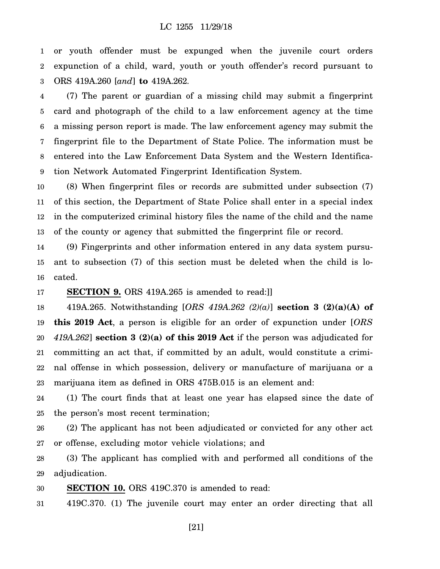1 2 3 or youth offender must be expunged when the juvenile court orders expunction of a child, ward, youth or youth offender's record pursuant to ORS 419A.260 [*and*] **to** 419A.262.

4 5 6 7 8 9 (7) The parent or guardian of a missing child may submit a fingerprint card and photograph of the child to a law enforcement agency at the time a missing person report is made. The law enforcement agency may submit the fingerprint file to the Department of State Police. The information must be entered into the Law Enforcement Data System and the Western Identification Network Automated Fingerprint Identification System.

10 11 12 13 (8) When fingerprint files or records are submitted under subsection (7) of this section, the Department of State Police shall enter in a special index in the computerized criminal history files the name of the child and the name of the county or agency that submitted the fingerprint file or record.

14 15 16 (9) Fingerprints and other information entered in any data system pursuant to subsection (7) of this section must be deleted when the child is located.

17 **SECTION 9.** ORS 419A.265 is amended to read:]]

18 19 20 21 22 23 419A.265. Notwithstanding [*ORS 419A.262 (2)(a)*] **section 3 (2)(a)(A) of this 2019 Act**, a person is eligible for an order of expunction under [*ORS 419A.262*] **section 3 (2)(a) of this 2019 Act** if the person was adjudicated for committing an act that, if committed by an adult, would constitute a criminal offense in which possession, delivery or manufacture of marijuana or a marijuana item as defined in ORS 475B.015 is an element and:

24 25 (1) The court finds that at least one year has elapsed since the date of the person's most recent termination;

26 27 (2) The applicant has not been adjudicated or convicted for any other act or offense, excluding motor vehicle violations; and

28 29 (3) The applicant has complied with and performed all conditions of the adjudication.

30 **SECTION 10.** ORS 419C.370 is amended to read:

31 419C.370. (1) The juvenile court may enter an order directing that all

[21]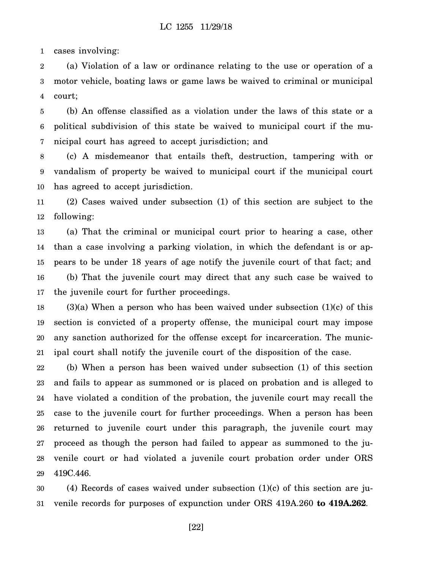1 cases involving:

2 3 4 (a) Violation of a law or ordinance relating to the use or operation of a motor vehicle, boating laws or game laws be waived to criminal or municipal court;

5 6 7 (b) An offense classified as a violation under the laws of this state or a political subdivision of this state be waived to municipal court if the municipal court has agreed to accept jurisdiction; and

8 9 10 (c) A misdemeanor that entails theft, destruction, tampering with or vandalism of property be waived to municipal court if the municipal court has agreed to accept jurisdiction.

11 12 (2) Cases waived under subsection (1) of this section are subject to the following:

13 14 15 16 17 (a) That the criminal or municipal court prior to hearing a case, other than a case involving a parking violation, in which the defendant is or appears to be under 18 years of age notify the juvenile court of that fact; and (b) That the juvenile court may direct that any such case be waived to the juvenile court for further proceedings.

18 19 20 21  $(3)(a)$  When a person who has been waived under subsection  $(1)(c)$  of this section is convicted of a property offense, the municipal court may impose any sanction authorized for the offense except for incarceration. The municipal court shall notify the juvenile court of the disposition of the case.

22 23 24 25 26 27 28 29 (b) When a person has been waived under subsection (1) of this section and fails to appear as summoned or is placed on probation and is alleged to have violated a condition of the probation, the juvenile court may recall the case to the juvenile court for further proceedings. When a person has been returned to juvenile court under this paragraph, the juvenile court may proceed as though the person had failed to appear as summoned to the juvenile court or had violated a juvenile court probation order under ORS 419C.446.

30 31 (4) Records of cases waived under subsection (1)(c) of this section are juvenile records for purposes of expunction under ORS 419A.260 **to 419A.262**.

[22]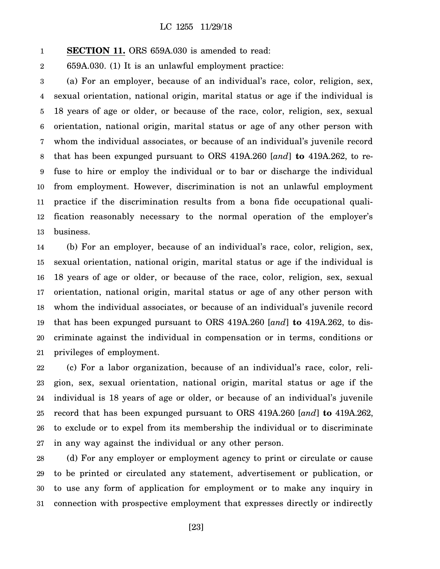#### 1 **SECTION 11.** ORS 659A.030 is amended to read:

2 659A.030. (1) It is an unlawful employment practice:

3 4 5 6 7 8 9 10 11 12 13 (a) For an employer, because of an individual's race, color, religion, sex, sexual orientation, national origin, marital status or age if the individual is 18 years of age or older, or because of the race, color, religion, sex, sexual orientation, national origin, marital status or age of any other person with whom the individual associates, or because of an individual's juvenile record that has been expunged pursuant to ORS 419A.260 [*and*] **to** 419A.262, to refuse to hire or employ the individual or to bar or discharge the individual from employment. However, discrimination is not an unlawful employment practice if the discrimination results from a bona fide occupational qualification reasonably necessary to the normal operation of the employer's business.

14 15 16 17 18 19 20 21 (b) For an employer, because of an individual's race, color, religion, sex, sexual orientation, national origin, marital status or age if the individual is 18 years of age or older, or because of the race, color, religion, sex, sexual orientation, national origin, marital status or age of any other person with whom the individual associates, or because of an individual's juvenile record that has been expunged pursuant to ORS 419A.260 [*and*] **to** 419A.262, to discriminate against the individual in compensation or in terms, conditions or privileges of employment.

22 23 24 25 26 27 (c) For a labor organization, because of an individual's race, color, religion, sex, sexual orientation, national origin, marital status or age if the individual is 18 years of age or older, or because of an individual's juvenile record that has been expunged pursuant to ORS 419A.260 [*and*] **to** 419A.262, to exclude or to expel from its membership the individual or to discriminate in any way against the individual or any other person.

28 29 30 31 (d) For any employer or employment agency to print or circulate or cause to be printed or circulated any statement, advertisement or publication, or to use any form of application for employment or to make any inquiry in connection with prospective employment that expresses directly or indirectly

[23]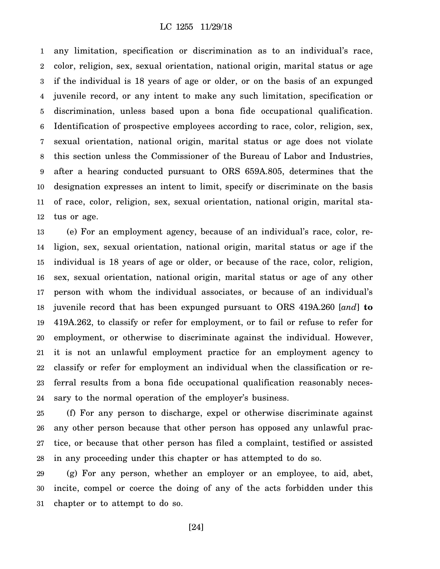1 2 3 4 5 6 7 8 9 10 11 12 any limitation, specification or discrimination as to an individual's race, color, religion, sex, sexual orientation, national origin, marital status or age if the individual is 18 years of age or older, or on the basis of an expunged juvenile record, or any intent to make any such limitation, specification or discrimination, unless based upon a bona fide occupational qualification. Identification of prospective employees according to race, color, religion, sex, sexual orientation, national origin, marital status or age does not violate this section unless the Commissioner of the Bureau of Labor and Industries, after a hearing conducted pursuant to ORS 659A.805, determines that the designation expresses an intent to limit, specify or discriminate on the basis of race, color, religion, sex, sexual orientation, national origin, marital status or age.

13 14 15 16 17 18 19 20 21 22 23 24 (e) For an employment agency, because of an individual's race, color, religion, sex, sexual orientation, national origin, marital status or age if the individual is 18 years of age or older, or because of the race, color, religion, sex, sexual orientation, national origin, marital status or age of any other person with whom the individual associates, or because of an individual's juvenile record that has been expunged pursuant to ORS 419A.260 [*and*] **to** 419A.262, to classify or refer for employment, or to fail or refuse to refer for employment, or otherwise to discriminate against the individual. However, it is not an unlawful employment practice for an employment agency to classify or refer for employment an individual when the classification or referral results from a bona fide occupational qualification reasonably necessary to the normal operation of the employer's business.

25 26 27 28 (f) For any person to discharge, expel or otherwise discriminate against any other person because that other person has opposed any unlawful practice, or because that other person has filed a complaint, testified or assisted in any proceeding under this chapter or has attempted to do so.

29 30 31 (g) For any person, whether an employer or an employee, to aid, abet, incite, compel or coerce the doing of any of the acts forbidden under this chapter or to attempt to do so.

[24]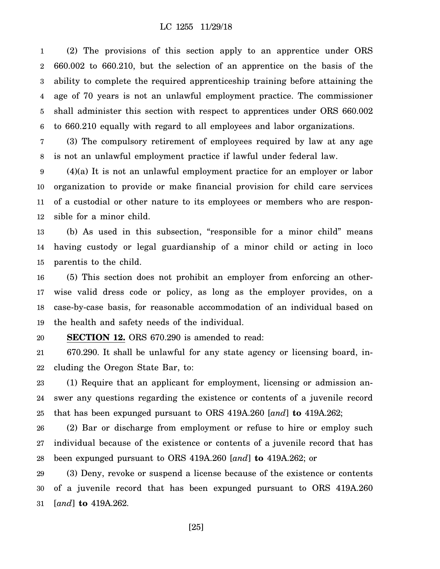1 2 3 4 5 6 (2) The provisions of this section apply to an apprentice under ORS 660.002 to 660.210, but the selection of an apprentice on the basis of the ability to complete the required apprenticeship training before attaining the age of 70 years is not an unlawful employment practice. The commissioner shall administer this section with respect to apprentices under ORS 660.002 to 660.210 equally with regard to all employees and labor organizations.

7 8 (3) The compulsory retirement of employees required by law at any age is not an unlawful employment practice if lawful under federal law.

9 10 11 12 (4)(a) It is not an unlawful employment practice for an employer or labor organization to provide or make financial provision for child care services of a custodial or other nature to its employees or members who are responsible for a minor child.

13 14 15 (b) As used in this subsection, "responsible for a minor child" means having custody or legal guardianship of a minor child or acting in loco parentis to the child.

16 17 18 19 (5) This section does not prohibit an employer from enforcing an otherwise valid dress code or policy, as long as the employer provides, on a case-by-case basis, for reasonable accommodation of an individual based on the health and safety needs of the individual.

#### 20 **SECTION 12.** ORS 670.290 is amended to read:

21 22 670.290. It shall be unlawful for any state agency or licensing board, including the Oregon State Bar, to:

23 24 25 (1) Require that an applicant for employment, licensing or admission answer any questions regarding the existence or contents of a juvenile record that has been expunged pursuant to ORS 419A.260 [*and*] **to** 419A.262;

26 27 28 (2) Bar or discharge from employment or refuse to hire or employ such individual because of the existence or contents of a juvenile record that has been expunged pursuant to ORS 419A.260 [*and*] **to** 419A.262; or

29 30 31 (3) Deny, revoke or suspend a license because of the existence or contents of a juvenile record that has been expunged pursuant to ORS 419A.260 [*and*] **to** 419A.262.

[25]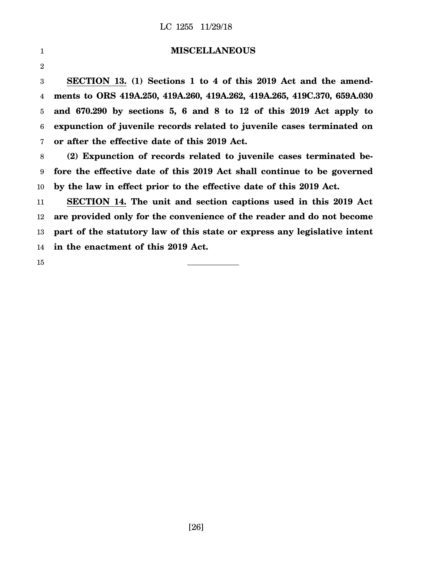| 1            | <b>MISCELLANEOUS</b>                                                      |
|--------------|---------------------------------------------------------------------------|
| $\mathbf{2}$ |                                                                           |
| 3            | SECTION 13. (1) Sections 1 to 4 of this 2019 Act and the amend-           |
| 4            | ments to ORS 419A.250, 419A.260, 419A.262, 419A.265, 419C.370, 659A.030   |
| 5            | and 670.290 by sections 5, 6 and 8 to 12 of this 2019 Act apply to        |
| 6            | expunction of juvenile records related to juvenile cases terminated on    |
| 7            | or after the effective date of this 2019 Act.                             |
| 8            | (2) Expunction of records related to juvenile cases terminated be-        |
| 9            | fore the effective date of this 2019 Act shall continue to be governed    |
| 10           | by the law in effect prior to the effective date of this 2019 Act.        |
| 11           | SECTION 14. The unit and section captions used in this 2019 Act           |
| 12           | are provided only for the convenience of the reader and do not become     |
| 13           | part of the statutory law of this state or express any legislative intent |
| 14           | in the enactment of this 2019 Act.                                        |
| 15           |                                                                           |

[26]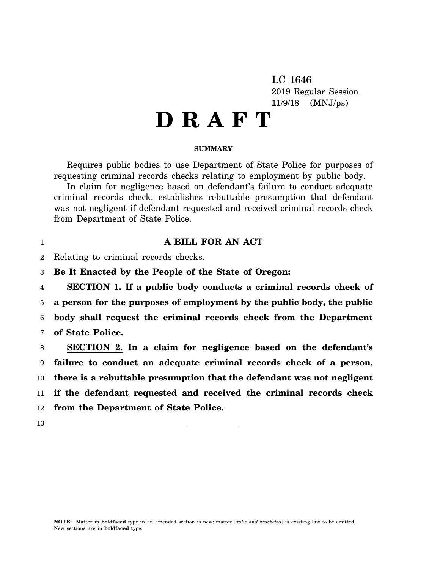LC 1646 2019 Regular Session 11/9/18 (MNJ/ps)

# **D R A F T**

### **SUMMARY**

Requires public bodies to use Department of State Police for purposes of requesting criminal records checks relating to employment by public body.

In claim for negligence based on defendant's failure to conduct adequate criminal records check, establishes rebuttable presumption that defendant was not negligent if defendant requested and received criminal records check from Department of State Police.

### **A BILL FOR AN ACT**

2 Relating to criminal records checks.

3 **Be It Enacted by the People of the State of Oregon:**

4 5 6 7 **SECTION 1. If a public body conducts a criminal records check of a person for the purposes of employment by the public body, the public body shall request the criminal records check from the Department of State Police.**

8 9 10 11 12 **SECTION 2. In a claim for negligence based on the defendant's failure to conduct an adequate criminal records check of a person, there is a rebuttable presumption that the defendant was not negligent if the defendant requested and received the criminal records check from the Department of State Police.**

13

1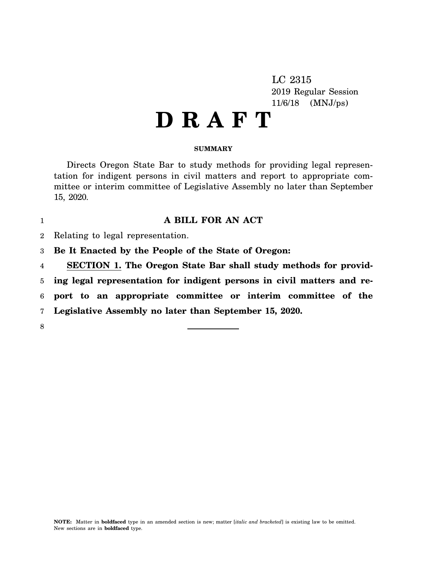LC 2315 2019 Regular Session 11/6/18 (MNJ/ps)

# **D R A F T**

### **SUMMARY**

Directs Oregon State Bar to study methods for providing legal representation for indigent persons in civil matters and report to appropriate committee or interim committee of Legislative Assembly no later than September 15, 2020.

## **A BILL FOR AN ACT**

- $\mathfrak{D}$ Relating to legal representation.
- 3 **Be It Enacted by the People of the State of Oregon:**
- 4 **SECTION 1. The Oregon State Bar shall study methods for provid-**

5 **ing legal representation for indigent persons in civil matters and re-**

6 **port to an appropriate committee or interim committee of the**

7 **Legislative Assembly no later than September 15, 2020.**

8

1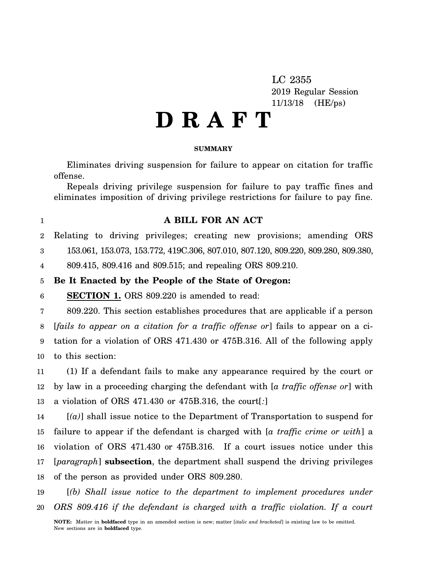LC 2355 2019 Regular Session 11/13/18 (HE/ps)

# **D R A F T**

### **SUMMARY**

Eliminates driving suspension for failure to appear on citation for traffic offense.

Repeals driving privilege suspension for failure to pay traffic fines and eliminates imposition of driving privilege restrictions for failure to pay fine.

### **A BILL FOR AN ACT**

 $\mathfrak{D}$ Relating to driving privileges; creating new provisions; amending ORS

3 153.061, 153.073, 153.772, 419C.306, 807.010, 807.120, 809.220, 809.280, 809.380,

4 809.415, 809.416 and 809.515; and repealing ORS 809.210.

#### 5 **Be It Enacted by the People of the State of Oregon:**

6 **SECTION 1.** ORS 809.220 is amended to read:

1

7 8 9 10 809.220. This section establishes procedures that are applicable if a person [*fails to appear on a citation for a traffic offense or*] fails to appear on a citation for a violation of ORS 471.430 or 475B.316. All of the following apply to this section:

11 12 13 (1) If a defendant fails to make any appearance required by the court or by law in a proceeding charging the defendant with [*a traffic offense or*] with a violation of ORS 471.430 or 475B.316, the court[*:*]

14 15 16 17 18 [*(a)*] shall issue notice to the Department of Transportation to suspend for failure to appear if the defendant is charged with [*a traffic crime or with*] a violation of ORS 471.430 or 475B.316. If a court issues notice under this [*paragraph*] **subsection**, the department shall suspend the driving privileges of the person as provided under ORS 809.280.

19 20 [*(b) Shall issue notice to the department to implement procedures under ORS 809.416 if the defendant is charged with a traffic violation. If a court*

**NOTE:** Matter in **boldfaced** type in an amended section is new; matter [*italic and bracketed*] is existing law to be omitted. New sections are in **boldfaced** type.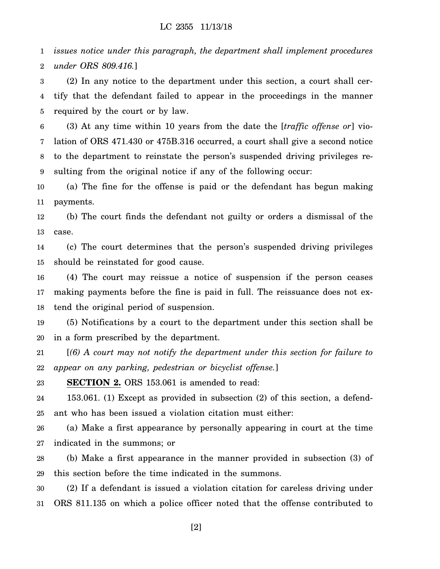1 2 *issues notice under this paragraph, the department shall implement procedures under ORS 809.416.*]

3 4 5 (2) In any notice to the department under this section, a court shall certify that the defendant failed to appear in the proceedings in the manner required by the court or by law.

6 7 8 9 (3) At any time within 10 years from the date the [*traffic offense or*] violation of ORS 471.430 or 475B.316 occurred, a court shall give a second notice to the department to reinstate the person's suspended driving privileges resulting from the original notice if any of the following occur:

10 11 (a) The fine for the offense is paid or the defendant has begun making payments.

12 13 (b) The court finds the defendant not guilty or orders a dismissal of the case.

14 15 (c) The court determines that the person's suspended driving privileges should be reinstated for good cause.

16 17 18 (4) The court may reissue a notice of suspension if the person ceases making payments before the fine is paid in full. The reissuance does not extend the original period of suspension.

19 20 (5) Notifications by a court to the department under this section shall be in a form prescribed by the department.

21 22 [*(6) A court may not notify the department under this section for failure to appear on any parking, pedestrian or bicyclist offense.*]

23 **SECTION 2.** ORS 153.061 is amended to read:

24 25 153.061. (1) Except as provided in subsection (2) of this section, a defendant who has been issued a violation citation must either:

26 27 (a) Make a first appearance by personally appearing in court at the time indicated in the summons; or

28 29 (b) Make a first appearance in the manner provided in subsection (3) of this section before the time indicated in the summons.

30 31 (2) If a defendant is issued a violation citation for careless driving under ORS 811.135 on which a police officer noted that the offense contributed to

[2]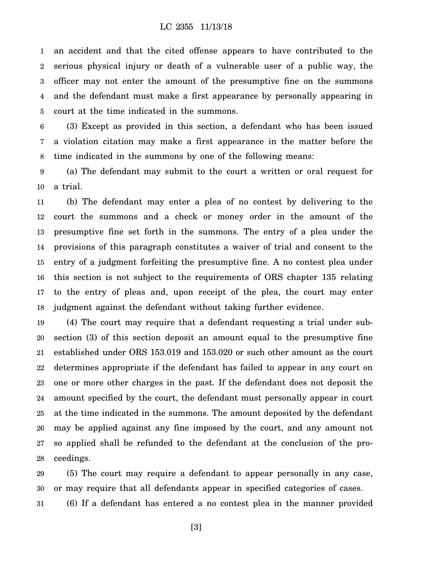1 2 3 4 5 an accident and that the cited offense appears to have contributed to the serious physical injury or death of a vulnerable user of a public way, the officer may not enter the amount of the presumptive fine on the summons and the defendant must make a first appearance by personally appearing in court at the time indicated in the summons.

6 7 8 (3) Except as provided in this section, a defendant who has been issued a violation citation may make a first appearance in the matter before the time indicated in the summons by one of the following means:

9 10 (a) The defendant may submit to the court a written or oral request for a trial.

11 12 13 14 15 16 17 18 (b) The defendant may enter a plea of no contest by delivering to the court the summons and a check or money order in the amount of the presumptive fine set forth in the summons. The entry of a plea under the provisions of this paragraph constitutes a waiver of trial and consent to the entry of a judgment forfeiting the presumptive fine. A no contest plea under this section is not subject to the requirements of ORS chapter 135 relating to the entry of pleas and, upon receipt of the plea, the court may enter judgment against the defendant without taking further evidence.

19 20 21 22 23 24 25 26 27 28 (4) The court may require that a defendant requesting a trial under subsection (3) of this section deposit an amount equal to the presumptive fine established under ORS 153.019 and 153.020 or such other amount as the court determines appropriate if the defendant has failed to appear in any court on one or more other charges in the past. If the defendant does not deposit the amount specified by the court, the defendant must personally appear in court at the time indicated in the summons. The amount deposited by the defendant may be applied against any fine imposed by the court, and any amount not so applied shall be refunded to the defendant at the conclusion of the proceedings.

29 30 (5) The court may require a defendant to appear personally in any case, or may require that all defendants appear in specified categories of cases.

31 (6) If a defendant has entered a no contest plea in the manner provided

[3]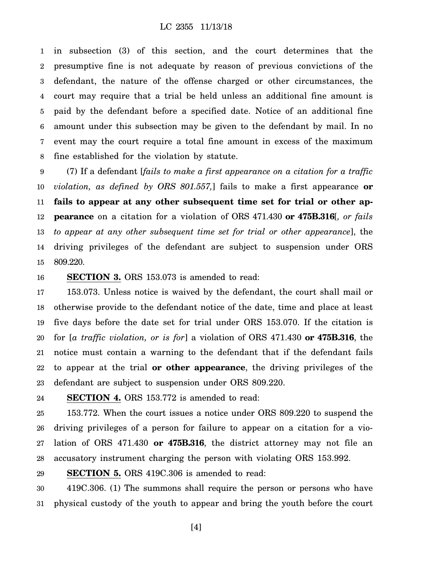1 2 3 4 5 6 7 8 in subsection (3) of this section, and the court determines that the presumptive fine is not adequate by reason of previous convictions of the defendant, the nature of the offense charged or other circumstances, the court may require that a trial be held unless an additional fine amount is paid by the defendant before a specified date. Notice of an additional fine amount under this subsection may be given to the defendant by mail. In no event may the court require a total fine amount in excess of the maximum fine established for the violation by statute.

9 10 11 12 13 14 15 (7) If a defendant [*fails to make a first appearance on a citation for a traffic violation, as defined by ORS 801.557,*] fails to make a first appearance **or fails to appear at any other subsequent time set for trial or other appearance** on a citation for a violation of ORS 471.430 **or 475B.316**[*, or fails to appear at any other subsequent time set for trial or other appearance*], the driving privileges of the defendant are subject to suspension under ORS 809.220.

#### 16 **SECTION 3.** ORS 153.073 is amended to read:

17 18 19 20 21 22 23 153.073. Unless notice is waived by the defendant, the court shall mail or otherwise provide to the defendant notice of the date, time and place at least five days before the date set for trial under ORS 153.070. If the citation is for [*a traffic violation, or is for*] a violation of ORS 471.430 **or 475B.316**, the notice must contain a warning to the defendant that if the defendant fails to appear at the trial **or other appearance**, the driving privileges of the defendant are subject to suspension under ORS 809.220.

24 **SECTION 4.** ORS 153.772 is amended to read:

25 26 27 28 153.772. When the court issues a notice under ORS 809.220 to suspend the driving privileges of a person for failure to appear on a citation for a violation of ORS 471.430 **or 475B.316**, the district attorney may not file an accusatory instrument charging the person with violating ORS 153.992.

29 **SECTION 5.** ORS 419C.306 is amended to read:

30 31 419C.306. (1) The summons shall require the person or persons who have physical custody of the youth to appear and bring the youth before the court

[4]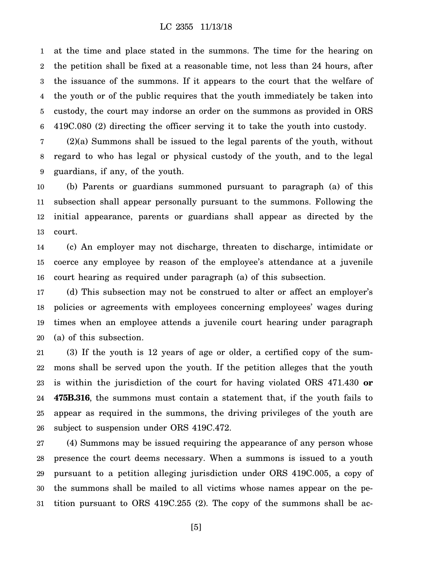1 2 3 4 5 6 at the time and place stated in the summons. The time for the hearing on the petition shall be fixed at a reasonable time, not less than 24 hours, after the issuance of the summons. If it appears to the court that the welfare of the youth or of the public requires that the youth immediately be taken into custody, the court may indorse an order on the summons as provided in ORS 419C.080 (2) directing the officer serving it to take the youth into custody.

7 8 9 (2)(a) Summons shall be issued to the legal parents of the youth, without regard to who has legal or physical custody of the youth, and to the legal guardians, if any, of the youth.

10 11 12 13 (b) Parents or guardians summoned pursuant to paragraph (a) of this subsection shall appear personally pursuant to the summons. Following the initial appearance, parents or guardians shall appear as directed by the court.

14 15 16 (c) An employer may not discharge, threaten to discharge, intimidate or coerce any employee by reason of the employee's attendance at a juvenile court hearing as required under paragraph (a) of this subsection.

17 18 19 20 (d) This subsection may not be construed to alter or affect an employer's policies or agreements with employees concerning employees' wages during times when an employee attends a juvenile court hearing under paragraph (a) of this subsection.

21 22 23 24 25 26 (3) If the youth is 12 years of age or older, a certified copy of the summons shall be served upon the youth. If the petition alleges that the youth is within the jurisdiction of the court for having violated ORS 471.430 **or 475B.316**, the summons must contain a statement that, if the youth fails to appear as required in the summons, the driving privileges of the youth are subject to suspension under ORS 419C.472.

27 28 29 30 31 (4) Summons may be issued requiring the appearance of any person whose presence the court deems necessary. When a summons is issued to a youth pursuant to a petition alleging jurisdiction under ORS 419C.005, a copy of the summons shall be mailed to all victims whose names appear on the petition pursuant to ORS 419C.255 (2). The copy of the summons shall be ac-

[5]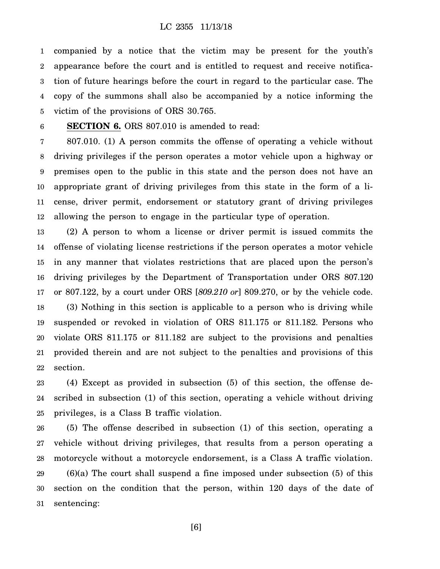1 2 3 4 5 companied by a notice that the victim may be present for the youth's appearance before the court and is entitled to request and receive notification of future hearings before the court in regard to the particular case. The copy of the summons shall also be accompanied by a notice informing the victim of the provisions of ORS 30.765.

### 6

**SECTION 6.** ORS 807.010 is amended to read:

7 8 9 10 11 12 807.010. (1) A person commits the offense of operating a vehicle without driving privileges if the person operates a motor vehicle upon a highway or premises open to the public in this state and the person does not have an appropriate grant of driving privileges from this state in the form of a license, driver permit, endorsement or statutory grant of driving privileges allowing the person to engage in the particular type of operation.

13 14 15 16 17 18 19 20 21 22 (2) A person to whom a license or driver permit is issued commits the offense of violating license restrictions if the person operates a motor vehicle in any manner that violates restrictions that are placed upon the person's driving privileges by the Department of Transportation under ORS 807.120 or 807.122, by a court under ORS [*809.210 or*] 809.270, or by the vehicle code. (3) Nothing in this section is applicable to a person who is driving while suspended or revoked in violation of ORS 811.175 or 811.182. Persons who violate ORS 811.175 or 811.182 are subject to the provisions and penalties provided therein and are not subject to the penalties and provisions of this section.

23 24 25 (4) Except as provided in subsection (5) of this section, the offense described in subsection (1) of this section, operating a vehicle without driving privileges, is a Class B traffic violation.

26 27 28 29 30 31 (5) The offense described in subsection (1) of this section, operating a vehicle without driving privileges, that results from a person operating a motorcycle without a motorcycle endorsement, is a Class A traffic violation.  $(6)(a)$  The court shall suspend a fine imposed under subsection  $(5)$  of this section on the condition that the person, within 120 days of the date of sentencing:

[6]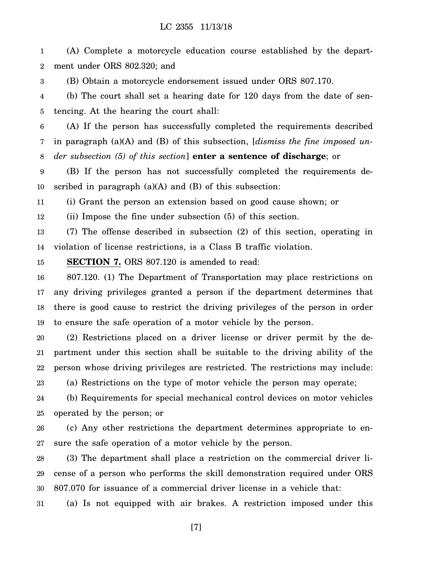1 2 (A) Complete a motorcycle education course established by the department under ORS 802.320; and

3 (B) Obtain a motorcycle endorsement issued under ORS 807.170.

4 5 (b) The court shall set a hearing date for 120 days from the date of sentencing. At the hearing the court shall:

6 7 8 (A) If the person has successfully completed the requirements described in paragraph (a)(A) and (B) of this subsection, [*dismiss the fine imposed under subsection (5) of this section*] **enter a sentence of discharge**; or

9 10 (B) If the person has not successfully completed the requirements described in paragraph  $(a)(A)$  and  $(B)$  of this subsection:

11 (i) Grant the person an extension based on good cause shown; or

12 (ii) Impose the fine under subsection (5) of this section.

13 14 (7) The offense described in subsection (2) of this section, operating in violation of license restrictions, is a Class B traffic violation.

15 **SECTION 7.** ORS 807.120 is amended to read:

16 17 18 19 807.120. (1) The Department of Transportation may place restrictions on any driving privileges granted a person if the department determines that there is good cause to restrict the driving privileges of the person in order to ensure the safe operation of a motor vehicle by the person.

20 21 22 (2) Restrictions placed on a driver license or driver permit by the department under this section shall be suitable to the driving ability of the person whose driving privileges are restricted. The restrictions may include:

23 (a) Restrictions on the type of motor vehicle the person may operate;

24 25 (b) Requirements for special mechanical control devices on motor vehicles operated by the person; or

26 27 (c) Any other restrictions the department determines appropriate to ensure the safe operation of a motor vehicle by the person.

28 29 30 (3) The department shall place a restriction on the commercial driver license of a person who performs the skill demonstration required under ORS 807.070 for issuance of a commercial driver license in a vehicle that:

31 (a) Is not equipped with air brakes. A restriction imposed under this

[7]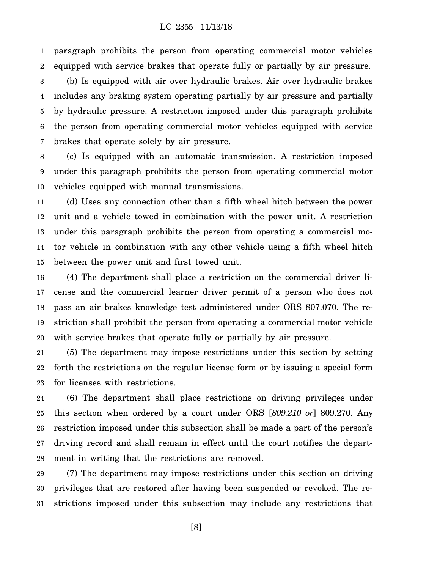1 2 paragraph prohibits the person from operating commercial motor vehicles equipped with service brakes that operate fully or partially by air pressure.

3 4 5 6 7 (b) Is equipped with air over hydraulic brakes. Air over hydraulic brakes includes any braking system operating partially by air pressure and partially by hydraulic pressure. A restriction imposed under this paragraph prohibits the person from operating commercial motor vehicles equipped with service brakes that operate solely by air pressure.

8 9 10 (c) Is equipped with an automatic transmission. A restriction imposed under this paragraph prohibits the person from operating commercial motor vehicles equipped with manual transmissions.

11 12 13 14 15 (d) Uses any connection other than a fifth wheel hitch between the power unit and a vehicle towed in combination with the power unit. A restriction under this paragraph prohibits the person from operating a commercial motor vehicle in combination with any other vehicle using a fifth wheel hitch between the power unit and first towed unit.

16 17 18 19 20 (4) The department shall place a restriction on the commercial driver license and the commercial learner driver permit of a person who does not pass an air brakes knowledge test administered under ORS 807.070. The restriction shall prohibit the person from operating a commercial motor vehicle with service brakes that operate fully or partially by air pressure.

21 22 23 (5) The department may impose restrictions under this section by setting forth the restrictions on the regular license form or by issuing a special form for licenses with restrictions.

24 25 26 27 28 (6) The department shall place restrictions on driving privileges under this section when ordered by a court under ORS [*809.210 or*] 809.270. Any restriction imposed under this subsection shall be made a part of the person's driving record and shall remain in effect until the court notifies the department in writing that the restrictions are removed.

29 30 31 (7) The department may impose restrictions under this section on driving privileges that are restored after having been suspended or revoked. The restrictions imposed under this subsection may include any restrictions that

[8]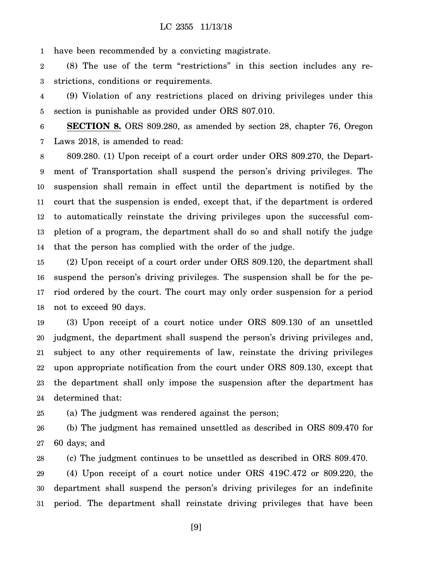1 have been recommended by a convicting magistrate.

2 3 (8) The use of the term "restrictions" in this section includes any restrictions, conditions or requirements.

4 5 (9) Violation of any restrictions placed on driving privileges under this section is punishable as provided under ORS 807.010.

6 7 **SECTION 8.** ORS 809.280, as amended by section 28, chapter 76, Oregon Laws 2018, is amended to read:

8 9 10 11 12 13 14 809.280. (1) Upon receipt of a court order under ORS 809.270, the Department of Transportation shall suspend the person's driving privileges. The suspension shall remain in effect until the department is notified by the court that the suspension is ended, except that, if the department is ordered to automatically reinstate the driving privileges upon the successful completion of a program, the department shall do so and shall notify the judge that the person has complied with the order of the judge.

15 16 17 18 (2) Upon receipt of a court order under ORS 809.120, the department shall suspend the person's driving privileges. The suspension shall be for the period ordered by the court. The court may only order suspension for a period not to exceed 90 days.

19 20 21 22 23 24 (3) Upon receipt of a court notice under ORS 809.130 of an unsettled judgment, the department shall suspend the person's driving privileges and, subject to any other requirements of law, reinstate the driving privileges upon appropriate notification from the court under ORS 809.130, except that the department shall only impose the suspension after the department has determined that:

25 (a) The judgment was rendered against the person;

26 27 (b) The judgment has remained unsettled as described in ORS 809.470 for 60 days; and

28 (c) The judgment continues to be unsettled as described in ORS 809.470.

29 30 31 (4) Upon receipt of a court notice under ORS 419C.472 or 809.220, the department shall suspend the person's driving privileges for an indefinite period. The department shall reinstate driving privileges that have been

[9]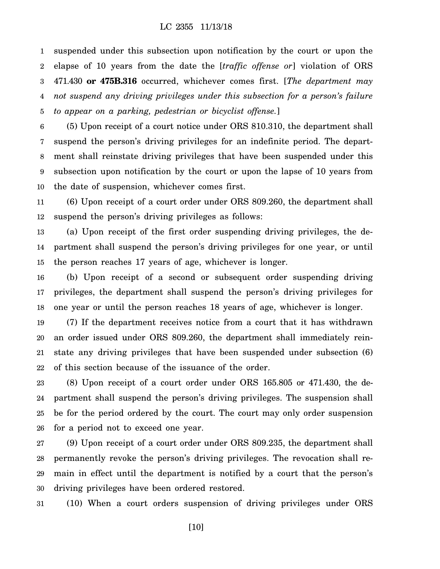1 2 3 4 5 suspended under this subsection upon notification by the court or upon the elapse of 10 years from the date the [*traffic offense or*] violation of ORS 471.430 **or 475B.316** occurred, whichever comes first. [*The department may not suspend any driving privileges under this subsection for a person's failure to appear on a parking, pedestrian or bicyclist offense.*]

6 7 8 9 10 (5) Upon receipt of a court notice under ORS 810.310, the department shall suspend the person's driving privileges for an indefinite period. The department shall reinstate driving privileges that have been suspended under this subsection upon notification by the court or upon the lapse of 10 years from the date of suspension, whichever comes first.

11 12 (6) Upon receipt of a court order under ORS 809.260, the department shall suspend the person's driving privileges as follows:

13 14 15 (a) Upon receipt of the first order suspending driving privileges, the department shall suspend the person's driving privileges for one year, or until the person reaches 17 years of age, whichever is longer.

16 17 18 (b) Upon receipt of a second or subsequent order suspending driving privileges, the department shall suspend the person's driving privileges for one year or until the person reaches 18 years of age, whichever is longer.

19 20 21 22 (7) If the department receives notice from a court that it has withdrawn an order issued under ORS 809.260, the department shall immediately reinstate any driving privileges that have been suspended under subsection (6) of this section because of the issuance of the order.

23 24 25 26 (8) Upon receipt of a court order under ORS 165.805 or 471.430, the department shall suspend the person's driving privileges. The suspension shall be for the period ordered by the court. The court may only order suspension for a period not to exceed one year.

27 28 29 30 (9) Upon receipt of a court order under ORS 809.235, the department shall permanently revoke the person's driving privileges. The revocation shall remain in effect until the department is notified by a court that the person's driving privileges have been ordered restored.

31 (10) When a court orders suspension of driving privileges under ORS

[10]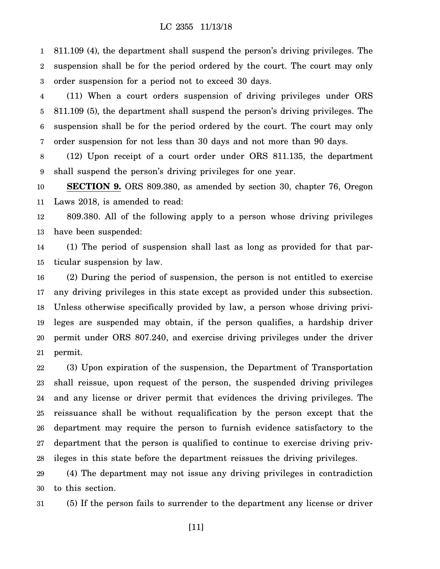1 2 3 811.109 (4), the department shall suspend the person's driving privileges. The suspension shall be for the period ordered by the court. The court may only order suspension for a period not to exceed 30 days.

4 5 6 7 (11) When a court orders suspension of driving privileges under ORS 811.109 (5), the department shall suspend the person's driving privileges. The suspension shall be for the period ordered by the court. The court may only order suspension for not less than 30 days and not more than 90 days.

8 9 (12) Upon receipt of a court order under ORS 811.135, the department shall suspend the person's driving privileges for one year.

10 11 **SECTION 9.** ORS 809.380, as amended by section 30, chapter 76, Oregon Laws 2018, is amended to read:

12 13 809.380. All of the following apply to a person whose driving privileges have been suspended:

14 15 (1) The period of suspension shall last as long as provided for that particular suspension by law.

16 17 18 19 20 21 (2) During the period of suspension, the person is not entitled to exercise any driving privileges in this state except as provided under this subsection. Unless otherwise specifically provided by law, a person whose driving privileges are suspended may obtain, if the person qualifies, a hardship driver permit under ORS 807.240, and exercise driving privileges under the driver permit.

22 23 24 25 26 27 28 (3) Upon expiration of the suspension, the Department of Transportation shall reissue, upon request of the person, the suspended driving privileges and any license or driver permit that evidences the driving privileges. The reissuance shall be without requalification by the person except that the department may require the person to furnish evidence satisfactory to the department that the person is qualified to continue to exercise driving privileges in this state before the department reissues the driving privileges.

29 30 (4) The department may not issue any driving privileges in contradiction to this section.

31 (5) If the person fails to surrender to the department any license or driver

[11]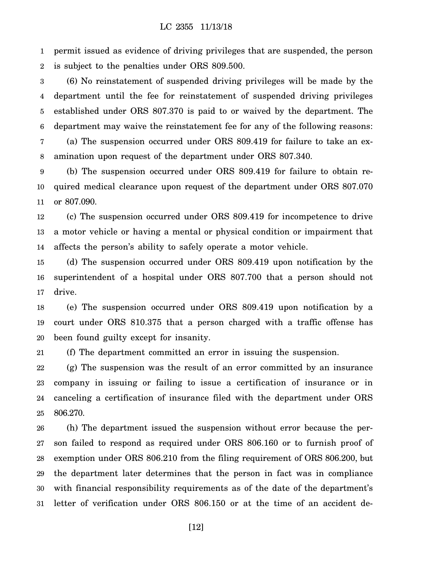1 2 permit issued as evidence of driving privileges that are suspended, the person is subject to the penalties under ORS 809.500.

3 4 5 6 7 (6) No reinstatement of suspended driving privileges will be made by the department until the fee for reinstatement of suspended driving privileges established under ORS 807.370 is paid to or waived by the department. The department may waive the reinstatement fee for any of the following reasons: (a) The suspension occurred under ORS 809.419 for failure to take an ex-

8 amination upon request of the department under ORS 807.340.

9 10 11 (b) The suspension occurred under ORS 809.419 for failure to obtain required medical clearance upon request of the department under ORS 807.070 or 807.090.

12 13 14 (c) The suspension occurred under ORS 809.419 for incompetence to drive a motor vehicle or having a mental or physical condition or impairment that affects the person's ability to safely operate a motor vehicle.

15 16 17 (d) The suspension occurred under ORS 809.419 upon notification by the superintendent of a hospital under ORS 807.700 that a person should not drive.

18 19 20 (e) The suspension occurred under ORS 809.419 upon notification by a court under ORS 810.375 that a person charged with a traffic offense has been found guilty except for insanity.

21 (f) The department committed an error in issuing the suspension.

22 23 24 25 (g) The suspension was the result of an error committed by an insurance company in issuing or failing to issue a certification of insurance or in canceling a certification of insurance filed with the department under ORS 806.270.

26 27 28 29 30 31 (h) The department issued the suspension without error because the person failed to respond as required under ORS 806.160 or to furnish proof of exemption under ORS 806.210 from the filing requirement of ORS 806.200, but the department later determines that the person in fact was in compliance with financial responsibility requirements as of the date of the department's letter of verification under ORS 806.150 or at the time of an accident de-

[12]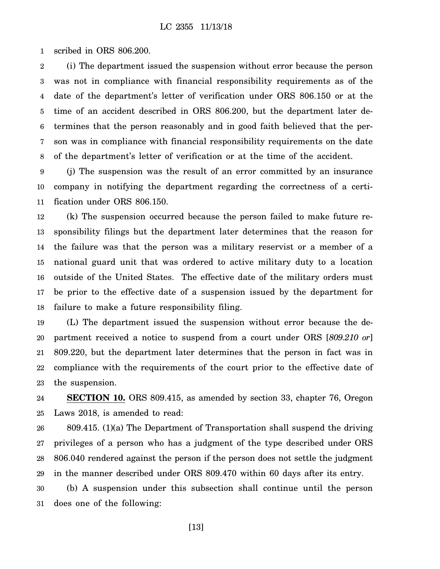1 scribed in ORS 806.200.

2 3 4 5 6 7 8 (i) The department issued the suspension without error because the person was not in compliance with financial responsibility requirements as of the date of the department's letter of verification under ORS 806.150 or at the time of an accident described in ORS 806.200, but the department later determines that the person reasonably and in good faith believed that the person was in compliance with financial responsibility requirements on the date of the department's letter of verification or at the time of the accident.

9 10 11 (j) The suspension was the result of an error committed by an insurance company in notifying the department regarding the correctness of a certification under ORS 806.150.

12 13 14 15 16 17 18 (k) The suspension occurred because the person failed to make future responsibility filings but the department later determines that the reason for the failure was that the person was a military reservist or a member of a national guard unit that was ordered to active military duty to a location outside of the United States. The effective date of the military orders must be prior to the effective date of a suspension issued by the department for failure to make a future responsibility filing.

19 20 21 22 23 (L) The department issued the suspension without error because the department received a notice to suspend from a court under ORS [*809.210 or*] 809.220, but the department later determines that the person in fact was in compliance with the requirements of the court prior to the effective date of the suspension.

24 25 **SECTION 10.** ORS 809.415, as amended by section 33, chapter 76, Oregon Laws 2018, is amended to read:

26 27 28 29 809.415. (1)(a) The Department of Transportation shall suspend the driving privileges of a person who has a judgment of the type described under ORS 806.040 rendered against the person if the person does not settle the judgment in the manner described under ORS 809.470 within 60 days after its entry.

30 31 (b) A suspension under this subsection shall continue until the person does one of the following:

[13]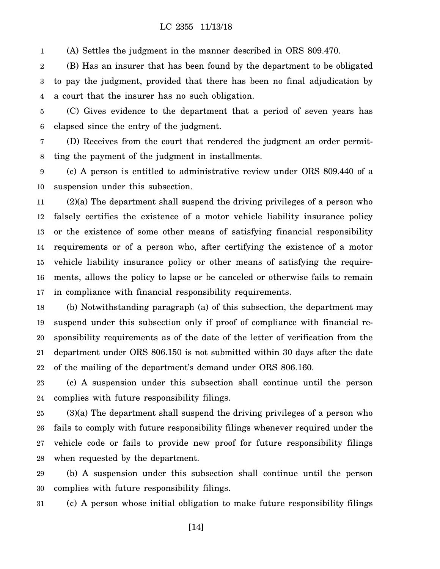1 (A) Settles the judgment in the manner described in ORS 809.470.

2 3 4 (B) Has an insurer that has been found by the department to be obligated to pay the judgment, provided that there has been no final adjudication by a court that the insurer has no such obligation.

5 6 (C) Gives evidence to the department that a period of seven years has elapsed since the entry of the judgment.

7 8 (D) Receives from the court that rendered the judgment an order permitting the payment of the judgment in installments.

9 10 (c) A person is entitled to administrative review under ORS 809.440 of a suspension under this subsection.

11 12 13 14 15 16 17 (2)(a) The department shall suspend the driving privileges of a person who falsely certifies the existence of a motor vehicle liability insurance policy or the existence of some other means of satisfying financial responsibility requirements or of a person who, after certifying the existence of a motor vehicle liability insurance policy or other means of satisfying the requirements, allows the policy to lapse or be canceled or otherwise fails to remain in compliance with financial responsibility requirements.

18 19 20 21 22 (b) Notwithstanding paragraph (a) of this subsection, the department may suspend under this subsection only if proof of compliance with financial responsibility requirements as of the date of the letter of verification from the department under ORS 806.150 is not submitted within 30 days after the date of the mailing of the department's demand under ORS 806.160.

23 24 (c) A suspension under this subsection shall continue until the person complies with future responsibility filings.

25 26 27 28 (3)(a) The department shall suspend the driving privileges of a person who fails to comply with future responsibility filings whenever required under the vehicle code or fails to provide new proof for future responsibility filings when requested by the department.

29 30 (b) A suspension under this subsection shall continue until the person complies with future responsibility filings.

31 (c) A person whose initial obligation to make future responsibility filings

[14]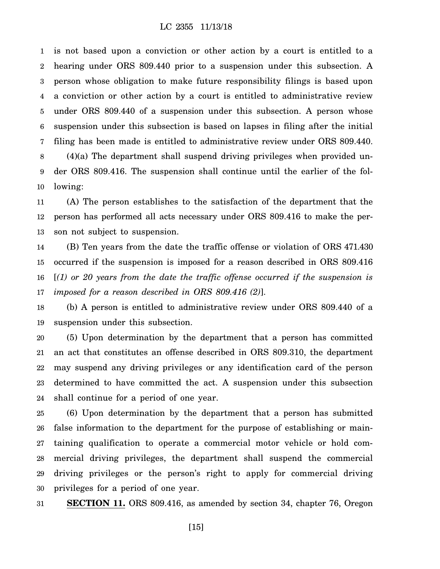1 2 3 4 5 6 7 8 is not based upon a conviction or other action by a court is entitled to a hearing under ORS 809.440 prior to a suspension under this subsection. A person whose obligation to make future responsibility filings is based upon a conviction or other action by a court is entitled to administrative review under ORS 809.440 of a suspension under this subsection. A person whose suspension under this subsection is based on lapses in filing after the initial filing has been made is entitled to administrative review under ORS 809.440. (4)(a) The department shall suspend driving privileges when provided un-

9 10 der ORS 809.416. The suspension shall continue until the earlier of the following:

11 12 13 (A) The person establishes to the satisfaction of the department that the person has performed all acts necessary under ORS 809.416 to make the person not subject to suspension.

14 15 16 17 (B) Ten years from the date the traffic offense or violation of ORS 471.430 occurred if the suspension is imposed for a reason described in ORS 809.416 [*(1) or 20 years from the date the traffic offense occurred if the suspension is imposed for a reason described in ORS 809.416 (2)*].

18 19 (b) A person is entitled to administrative review under ORS 809.440 of a suspension under this subsection.

20 21 22 23 24 (5) Upon determination by the department that a person has committed an act that constitutes an offense described in ORS 809.310, the department may suspend any driving privileges or any identification card of the person determined to have committed the act. A suspension under this subsection shall continue for a period of one year.

25 26 27 28 29 30 (6) Upon determination by the department that a person has submitted false information to the department for the purpose of establishing or maintaining qualification to operate a commercial motor vehicle or hold commercial driving privileges, the department shall suspend the commercial driving privileges or the person's right to apply for commercial driving privileges for a period of one year.

31 **SECTION 11.** ORS 809.416, as amended by section 34, chapter 76, Oregon

[15]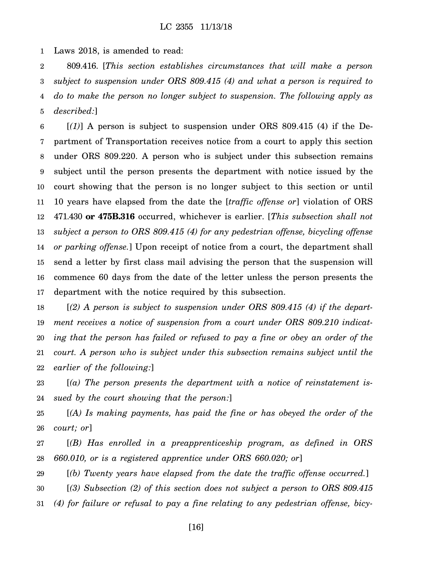1 Laws 2018, is amended to read:

2 3 4 5 809.416. [*This section establishes circumstances that will make a person subject to suspension under ORS 809.415 (4) and what a person is required to do to make the person no longer subject to suspension. The following apply as described:*]

6 7 8 9 10 11 12 13 14 15 16 17 [*(1)*] A person is subject to suspension under ORS 809.415 (4) if the Department of Transportation receives notice from a court to apply this section under ORS 809.220. A person who is subject under this subsection remains subject until the person presents the department with notice issued by the court showing that the person is no longer subject to this section or until 10 years have elapsed from the date the [*traffic offense or*] violation of ORS 471.430 **or 475B.316** occurred, whichever is earlier. [*This subsection shall not subject a person to ORS 809.415 (4) for any pedestrian offense, bicycling offense or parking offense.*] Upon receipt of notice from a court, the department shall send a letter by first class mail advising the person that the suspension will commence 60 days from the date of the letter unless the person presents the department with the notice required by this subsection.

18 19 20 21 22 [*(2) A person is subject to suspension under ORS 809.415 (4) if the department receives a notice of suspension from a court under ORS 809.210 indicating that the person has failed or refused to pay a fine or obey an order of the court. A person who is subject under this subsection remains subject until the earlier of the following:*]

23 24 [*(a) The person presents the department with a notice of reinstatement issued by the court showing that the person:*]

25 26 [*(A) Is making payments, has paid the fine or has obeyed the order of the court; or*]

27 28 [*(B) Has enrolled in a preapprenticeship program, as defined in ORS 660.010, or is a registered apprentice under ORS 660.020; or*]

29 30 31 [*(b) Twenty years have elapsed from the date the traffic offense occurred.*] [*(3) Subsection (2) of this section does not subject a person to ORS 809.415 (4) for failure or refusal to pay a fine relating to any pedestrian offense, bicy-*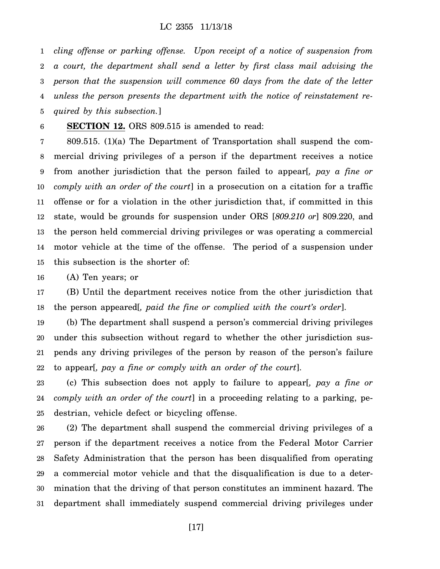1 2 3 4 5 *cling offense or parking offense. Upon receipt of a notice of suspension from a court, the department shall send a letter by first class mail advising the person that the suspension will commence 60 days from the date of the letter unless the person presents the department with the notice of reinstatement required by this subsection.*]

6 **SECTION 12.** ORS 809.515 is amended to read:

7 8 9 10 11 12 13 14 15 809.515. (1)(a) The Department of Transportation shall suspend the commercial driving privileges of a person if the department receives a notice from another jurisdiction that the person failed to appear[*, pay a fine or comply with an order of the court*] in a prosecution on a citation for a traffic offense or for a violation in the other jurisdiction that, if committed in this state, would be grounds for suspension under ORS [*809.210 or*] 809.220, and the person held commercial driving privileges or was operating a commercial motor vehicle at the time of the offense. The period of a suspension under this subsection is the shorter of:

16 (A) Ten years; or

17 18 (B) Until the department receives notice from the other jurisdiction that the person appeared[*, paid the fine or complied with the court's order*].

19 20 21 22 (b) The department shall suspend a person's commercial driving privileges under this subsection without regard to whether the other jurisdiction suspends any driving privileges of the person by reason of the person's failure to appear[*, pay a fine or comply with an order of the court*].

23 24 25 (c) This subsection does not apply to failure to appear[*, pay a fine or comply with an order of the court*] in a proceeding relating to a parking, pedestrian, vehicle defect or bicycling offense.

26 27 28 29 30 31 (2) The department shall suspend the commercial driving privileges of a person if the department receives a notice from the Federal Motor Carrier Safety Administration that the person has been disqualified from operating a commercial motor vehicle and that the disqualification is due to a determination that the driving of that person constitutes an imminent hazard. The department shall immediately suspend commercial driving privileges under

[17]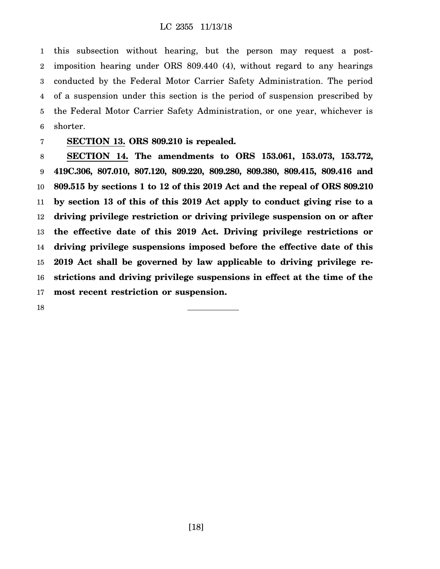1 2 3 4 5 6 this subsection without hearing, but the person may request a postimposition hearing under ORS 809.440 (4), without regard to any hearings conducted by the Federal Motor Carrier Safety Administration. The period of a suspension under this section is the period of suspension prescribed by the Federal Motor Carrier Safety Administration, or one year, whichever is shorter.

### 7

## **SECTION 13. ORS 809.210 is repealed.**

8 9 10 11 12 13 14 15 16 17 **SECTION 14. The amendments to ORS 153.061, 153.073, 153.772, 419C.306, 807.010, 807.120, 809.220, 809.280, 809.380, 809.415, 809.416 and 809.515 by sections 1 to 12 of this 2019 Act and the repeal of ORS 809.210 by section 13 of this of this 2019 Act apply to conduct giving rise to a driving privilege restriction or driving privilege suspension on or after the effective date of this 2019 Act. Driving privilege restrictions or driving privilege suspensions imposed before the effective date of this 2019 Act shall be governed by law applicable to driving privilege restrictions and driving privilege suspensions in effect at the time of the most recent restriction or suspension.**

18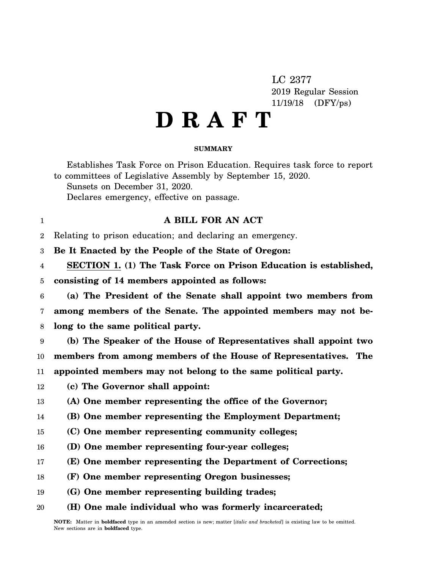LC 2377 2019 Regular Session 11/19/18 (DFY/ps)

# **D R A F T**

### **SUMMARY**

Establishes Task Force on Prison Education. Requires task force to report to committees of Legislative Assembly by September 15, 2020. Sunsets on December 31, 2020. Declares emergency, effective on passage.

## **A BILL FOR AN ACT**

 $\mathfrak{D}$ Relating to prison education; and declaring an emergency.

3 **Be It Enacted by the People of the State of Oregon:**

4 **SECTION 1. (1) The Task Force on Prison Education is established,**

5 **consisting of 14 members appointed as follows:**

6 7 8 **(a) The President of the Senate shall appoint two members from among members of the Senate. The appointed members may not belong to the same political party.**

9 10 11 **(b) The Speaker of the House of Representatives shall appoint two members from among members of the House of Representatives. The appointed members may not belong to the same political party.**

12 **(c) The Governor shall appoint:**

1

13 **(A) One member representing the office of the Governor;**

- 14 **(B) One member representing the Employment Department;**
- 15 **(C) One member representing community colleges;**
- 16 **(D) One member representing four-year colleges;**
- 17 **(E) One member representing the Department of Corrections;**
- 18 **(F) One member representing Oregon businesses;**
- 19 **(G) One member representing building trades;**
- 20 **(H) One male individual who was formerly incarcerated;**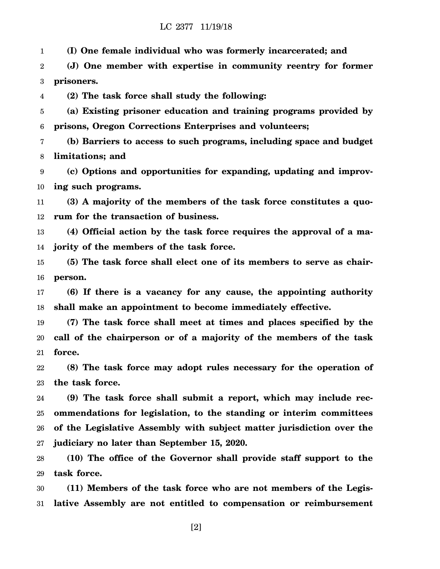### LC 2377 11/19/18

1 **(I) One female individual who was formerly incarcerated; and**

2 3 **(J) One member with expertise in community reentry for former prisoners.**

4 **(2) The task force shall study the following:**

5 6 **(a) Existing prisoner education and training programs provided by prisons, Oregon Corrections Enterprises and volunteers;**

7 8 **(b) Barriers to access to such programs, including space and budget limitations; and**

9 10 **(c) Options and opportunities for expanding, updating and improving such programs.**

11 12 **(3) A majority of the members of the task force constitutes a quorum for the transaction of business.**

13 14 **(4) Official action by the task force requires the approval of a majority of the members of the task force.**

15 16 **(5) The task force shall elect one of its members to serve as chairperson.**

17 18 **(6) If there is a vacancy for any cause, the appointing authority shall make an appointment to become immediately effective.**

19 20 21 **(7) The task force shall meet at times and places specified by the call of the chairperson or of a majority of the members of the task force.**

22 23 **(8) The task force may adopt rules necessary for the operation of the task force.**

24 25 26 27 **(9) The task force shall submit a report, which may include recommendations for legislation, to the standing or interim committees of the Legislative Assembly with subject matter jurisdiction over the judiciary no later than September 15, 2020.**

28 29 **(10) The office of the Governor shall provide staff support to the task force.**

30 31 **(11) Members of the task force who are not members of the Legislative Assembly are not entitled to compensation or reimbursement**

[2]